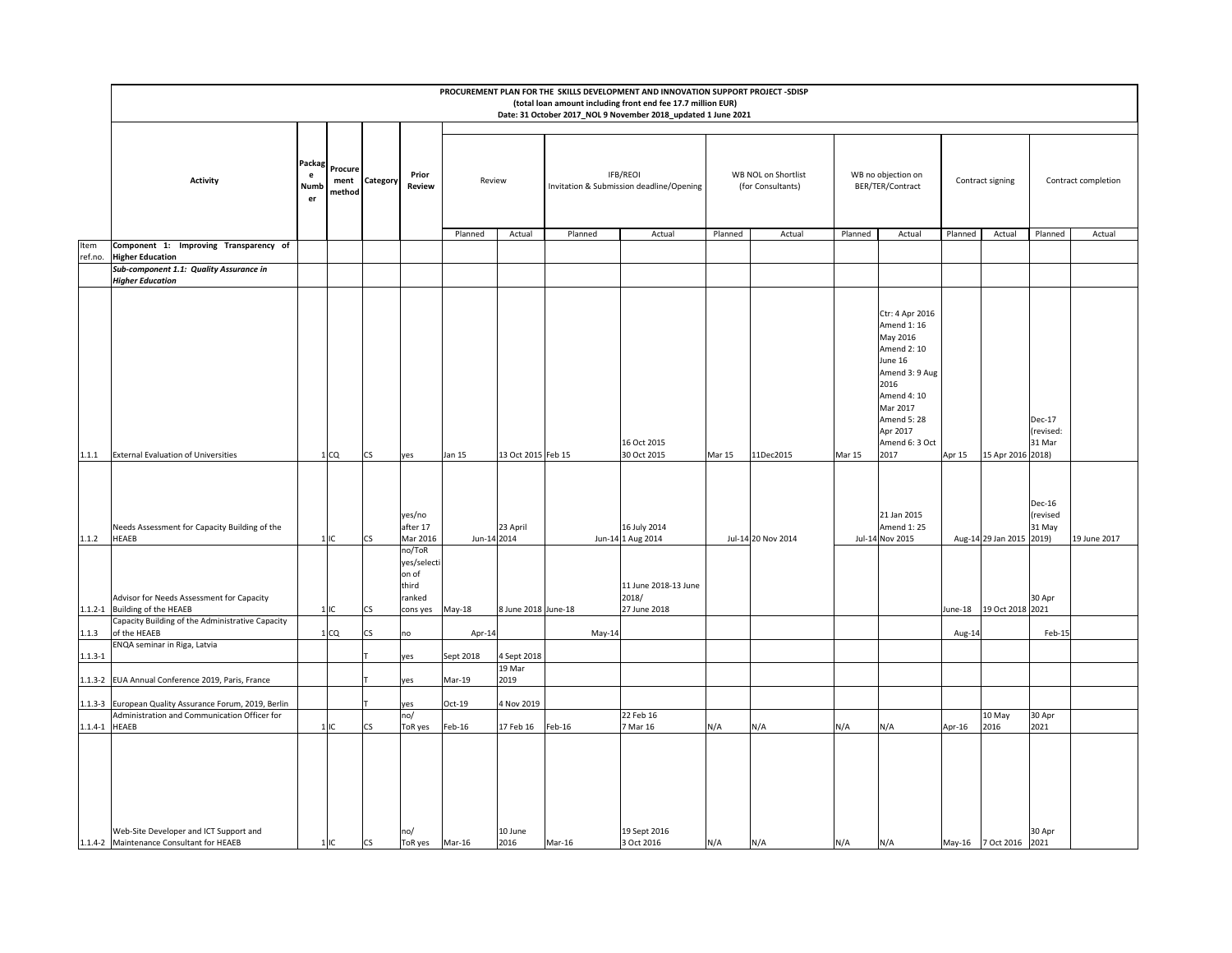|                 |                                                                                                            |                                     |                           |           |                                                                                     |             |                     |          | PROCUREMENT PLAN FOR THE SKILLS DEVELOPMENT AND INNOVATION SUPPORT PROJECT -SDISP<br>(total loan amount including front end fee 17.7 million EUR)<br>Date: 31 October 2017_NOL 9 November 2018_updated 1 June 2021 |         |                                          |         |                                                                                                                                                                               |         |                        |                                                 |                     |
|-----------------|------------------------------------------------------------------------------------------------------------|-------------------------------------|---------------------------|-----------|-------------------------------------------------------------------------------------|-------------|---------------------|----------|--------------------------------------------------------------------------------------------------------------------------------------------------------------------------------------------------------------------|---------|------------------------------------------|---------|-------------------------------------------------------------------------------------------------------------------------------------------------------------------------------|---------|------------------------|-------------------------------------------------|---------------------|
|                 |                                                                                                            |                                     |                           |           |                                                                                     |             |                     |          |                                                                                                                                                                                                                    |         |                                          |         |                                                                                                                                                                               |         |                        |                                                 |                     |
|                 | Activity                                                                                                   | Packa<br>$\mathbf{e}$<br>Numb<br>er | Procure<br>ment<br>method | Category  | Prior<br>Review                                                                     | Review      |                     |          | IFB/REOI<br>Invitation & Submission deadline/Opening                                                                                                                                                               |         | WB NOL on Shortlist<br>(for Consultants) |         | WB no objection on<br>BER/TER/Contract                                                                                                                                        |         | Contract signing       |                                                 | Contract completion |
|                 |                                                                                                            |                                     |                           |           |                                                                                     | Planned     | Actual              | Planned  | Actual                                                                                                                                                                                                             | Planned | Actual                                   | Planned | Actual                                                                                                                                                                        | Planned | Actual                 | Planned                                         | Actual              |
| Item<br>ref.no. | Component 1: Improving Transparency of<br><b>Higher Education</b>                                          |                                     |                           |           |                                                                                     |             |                     |          |                                                                                                                                                                                                                    |         |                                          |         |                                                                                                                                                                               |         |                        |                                                 |                     |
|                 | Sub-component 1.1: Quality Assurance in<br><b>Higher Education</b>                                         |                                     |                           |           |                                                                                     |             |                     |          |                                                                                                                                                                                                                    |         |                                          |         |                                                                                                                                                                               |         |                        |                                                 |                     |
|                 |                                                                                                            |                                     |                           |           |                                                                                     |             |                     |          | 16 Oct 2015                                                                                                                                                                                                        |         |                                          |         | Ctr: 4 Apr 2016<br>Amend 1: 16<br>May 2016<br>Amend 2: 10<br>June 16<br>Amend 3: 9 Aug<br>2016<br>Amend 4: 10<br>Mar 2017<br><b>Amend 5: 28</b><br>Apr 2017<br>Amend 6: 3 Oct |         |                        | Dec-17<br>(revised:<br>31 Mar                   |                     |
| 1.1.1           | <b>External Evaluation of Universities</b>                                                                 |                                     | 1 <sub>CO</sub>           | CS        | yes                                                                                 | Jan 15      | 13 Oct 2015 Feb 15  |          | 30 Oct 2015                                                                                                                                                                                                        | Mar 15  | 11Dec2015                                | Mar 15  | 2017                                                                                                                                                                          | Apr 15  | 15 Apr 2016 2018)      |                                                 |                     |
| 1.1.2           | Needs Assessment for Capacity Building of the<br><b>HEAEB</b><br>Advisor for Needs Assessment for Capacity |                                     | 1IC                       | <b>CS</b> | yes/no<br>after 17<br>Mar 2016<br>no/ToR<br>yes/selecti<br>on of<br>third<br>ranked | Jun-14 2014 | 23 April            |          | 16 July 2014<br>Jun-14 1 Aug 2014<br>11 June 2018-13 June<br>2018/                                                                                                                                                 |         | Jul-14 20 Nov 2014                       |         | 21 Jan 2015<br>Amend 1: 25<br>Jul-14 Nov 2015                                                                                                                                 |         | Aug-14 29 Jan 2015     | Dec-16<br>(revised<br>31 May<br>2019)<br>30 Apr | 19 June 2017        |
|                 | 1.1.2-1 Building of the HEAEB                                                                              |                                     | 1IC                       | CS        | cons yes                                                                            | May-18      | 8 June 2018 June-18 |          | 27 June 2018                                                                                                                                                                                                       |         |                                          |         |                                                                                                                                                                               | June-18 | 19 Oct 2018 2021       |                                                 |                     |
| 1.1.3           | Capacity Building of the Administrative Capacity<br>of the HEAEB                                           |                                     | 1 <sub>CO</sub>           | CS        | no                                                                                  | Apr-14      |                     | $May-14$ |                                                                                                                                                                                                                    |         |                                          |         |                                                                                                                                                                               | Aug-14  |                        | Feb-15                                          |                     |
| $1.1.3 - 1$     | ENQA seminar in Riga, Latvia                                                                               |                                     |                           |           | yes                                                                                 | Sept 2018   | 4 Sept 2018         |          |                                                                                                                                                                                                                    |         |                                          |         |                                                                                                                                                                               |         |                        |                                                 |                     |
|                 | EUA Annual Conference 2019, Paris, France                                                                  |                                     |                           |           |                                                                                     | Mar-19      | 19 Mar<br>2019      |          |                                                                                                                                                                                                                    |         |                                          |         |                                                                                                                                                                               |         |                        |                                                 |                     |
| $1.1.3 - 2$     |                                                                                                            |                                     |                           |           | yes                                                                                 |             |                     |          |                                                                                                                                                                                                                    |         |                                          |         |                                                                                                                                                                               |         |                        |                                                 |                     |
| $1.1.3 - 3$     | European Quality Assurance Forum, 2019, Berlin<br>Administration and Communication Officer for             |                                     |                           |           | yes<br>no/                                                                          | Oct-19      | 4 Nov 2019          |          | 22 Feb 16                                                                                                                                                                                                          |         |                                          |         |                                                                                                                                                                               |         | 10 May                 | 30 Apr                                          |                     |
| 1.1.4-1 HEAEB   |                                                                                                            |                                     | 1IC                       | CS        | ToR yes                                                                             | Feb-16      | 17 Feb 16           | Feb-16   | Mar 16                                                                                                                                                                                                             | N/A     | N/A                                      | N/A     | N/A                                                                                                                                                                           | Apr-16  | 2016                   | 2021                                            |                     |
|                 | Web-Site Developer and ICT Support and<br>1.1.4-2 Maintenance Consultant for HEAEB                         |                                     | 1IC                       | <b>CS</b> | no/<br>ToR yes Mar-16                                                               |             | 10 June<br>2016     | Mar-16   | 19 Sept 2016<br>3 Oct 2016                                                                                                                                                                                         | N/A     | N/A                                      | N/A     | N/A                                                                                                                                                                           |         | May-16 7 Oct 2016 2021 | 30 Apr                                          |                     |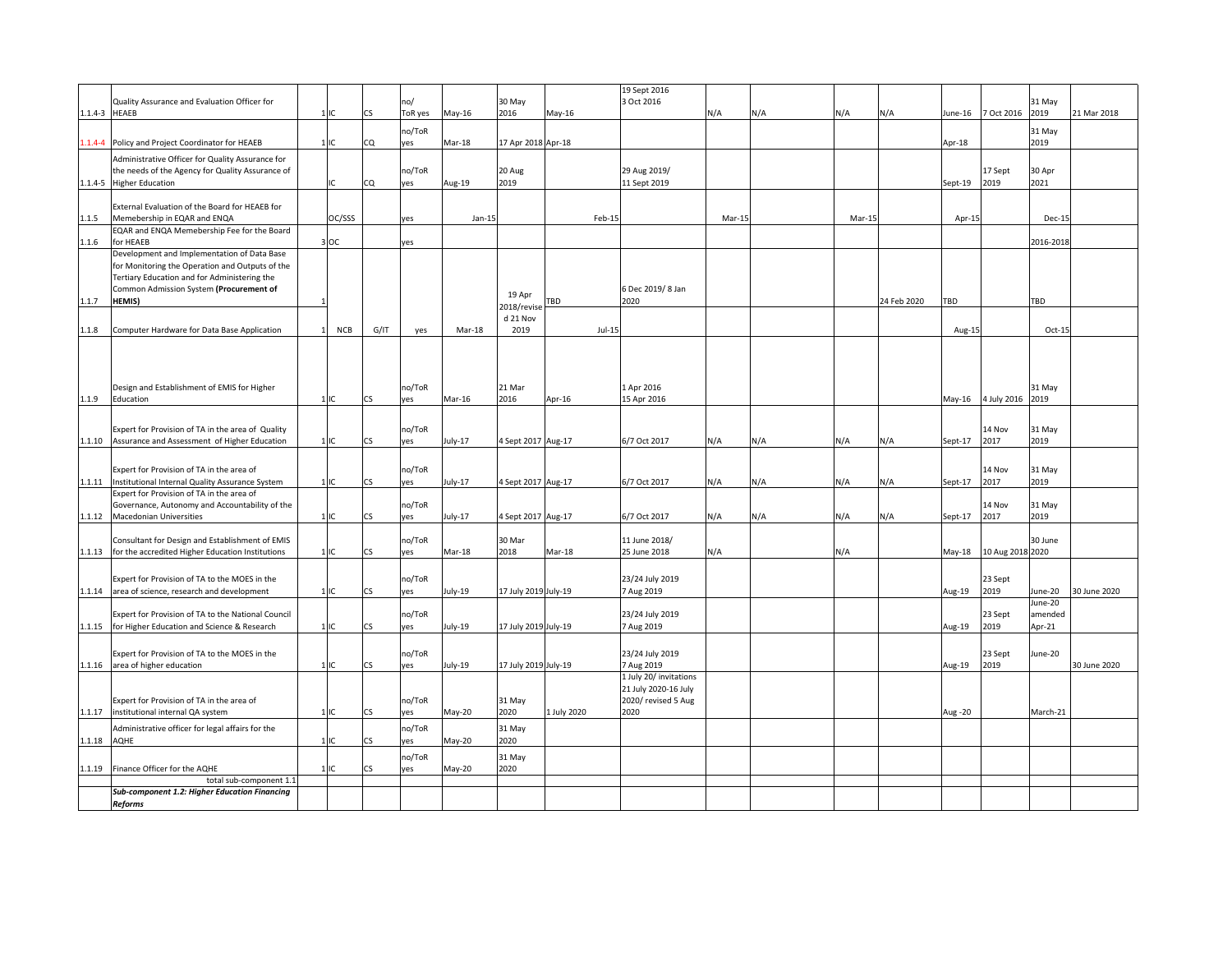| 1.1.4-3 HEAEB | Quality Assurance and Evaluation Officer for                                                                                                                                              | $1$ IC     | CS   | no/<br>ToR yes | May-16   | 30 May<br>2016       | $May-16$    | 19 Sept 2016<br>3 Oct 2016                                            | N/A    | N/A | N/A    | N/A         | lune-16 | 7 Oct 2016         | 31 May<br>2019               | 21 Mar 2018  |
|---------------|-------------------------------------------------------------------------------------------------------------------------------------------------------------------------------------------|------------|------|----------------|----------|----------------------|-------------|-----------------------------------------------------------------------|--------|-----|--------|-------------|---------|--------------------|------------------------------|--------------|
|               | .1.4-4 Policy and Project Coordinator for HEAEB                                                                                                                                           | 1IC        | CQ   | no/ToR<br>ves  | Mar-18   | 17 Apr 2018 Apr-18   |             |                                                                       |        |     |        |             | Apr-18  |                    | 31 May<br>2019               |              |
|               | Administrative Officer for Quality Assurance for<br>the needs of the Agency for Quality Assurance of<br>1.1.4-5 Higher Education                                                          | IC         | CQ   | no/ToR<br>ves  | Aug-19   | 20 Aug<br>2019       |             | 29 Aug 2019/<br>11 Sept 2019                                          |        |     |        |             | Sept-19 | 17 Sept<br>2019    | 30 Apr<br>2021               |              |
| 1.1.5         | External Evaluation of the Board for HEAEB for<br>Memebership in EQAR and ENQA                                                                                                            | OC/SSS     |      | yes            | $Jan-15$ |                      | Feb-15      |                                                                       | Mar-15 |     | Mar-15 |             | Apr-15  |                    | Dec-15                       |              |
| 1.1.6         | EQAR and ENQA Memebership Fee for the Board<br>for HEAEB                                                                                                                                  | 3 OC       |      | yes            |          |                      |             |                                                                       |        |     |        |             |         |                    | 2016-2018                    |              |
|               | Development and Implementation of Data Base<br>for Monitoring the Operation and Outputs of the<br>Tertiary Education and for Administering the<br>Common Admission System (Procurement of |            |      |                |          | 19 Apr               |             | 6 Dec 2019/8 Jan                                                      |        |     |        |             |         |                    |                              |              |
| 1.1.7         | HEMIS)                                                                                                                                                                                    |            |      |                |          | 2018/revise          | TBD         | 2020                                                                  |        |     |        | 24 Feb 2020 | TBD     |                    | TBD                          |              |
| 1.1.8         | Computer Hardware for Data Base Application                                                                                                                                               | <b>NCB</b> | G/IT | yes            | Mar-18   | d 21 Nov<br>2019     | $Jul-15$    |                                                                       |        |     |        |             | Aug-15  |                    | Oct-15                       |              |
| 1.1.9         | Design and Establishment of EMIS for Higher<br>Education                                                                                                                                  | $1\,$ IC   | CS   | no/ToR<br>ves  | Mar-16   | 21 Mar<br>2016       | Apr-16      | 1 Apr 2016<br>15 Apr 2016                                             |        |     |        |             |         | May-16 4 July 2016 | 31 May<br>2019               |              |
|               | Expert for Provision of TA in the area of Quality<br>1.1.10 Assurance and Assessment of Higher Education                                                                                  | 1IC        | CS.  | no/ToR<br>yes  | July-17  | 4 Sept 2017 Aug-17   |             | 6/7 Oct 2017                                                          | N/A    | N/A | N/A    | N/A         | Sept-17 | 14 Nov<br>2017     | 31 May<br>2019               |              |
|               | Expert for Provision of TA in the area of                                                                                                                                                 |            |      | no/ToR         |          |                      |             |                                                                       |        |     |        |             |         | 14 Nov             | 31 May                       |              |
| 1.1.11        | Institutional Internal Quality Assurance System<br>Expert for Provision of TA in the area of                                                                                              | 1IC        | ĊŚ   | yes            | July-17  | 4 Sept 2017 Aug-17   |             | 6/7 Oct 2017                                                          | N/A    | N/A | N/A    | N/A         | Sept-17 | 2017               | 2019                         |              |
| 1.1.12        | Governance, Autonomy and Accountability of the<br>Macedonian Universities                                                                                                                 | 1IC        | CS.  | no/ToR<br>ves  | July-17  | 4 Sept 2017 Aug-17   |             | 6/7 Oct 2017                                                          | N/A    | N/A | N/A    | N/A         | Sept-17 | 14 Nov<br>2017     | 31 May<br>2019               |              |
|               | Consultant for Design and Establishment of EMIS<br>1.1.13 for the accredited Higher Education Institutions                                                                                | 11C        | CS.  | no/ToR<br>yes  | Mar-18   | 30 Mar<br>2018       | Mar-18      | 11 June 2018/<br>25 June 2018                                         | N/A    |     | N/A    |             | May-18  | 10 Aug 2018 2020   | 30 June                      |              |
|               |                                                                                                                                                                                           |            |      |                |          |                      |             |                                                                       |        |     |        |             |         |                    |                              |              |
|               | Expert for Provision of TA to the MOES in the<br>1.1.14 area of science, research and development                                                                                         | 1IC        | CS   | no/ToR<br>ves  | July-19  | 17 July 2019 July-19 |             | 23/24 July 2019<br>7 Aug 2019                                         |        |     |        |             | Aug-19  | 23 Sept<br>2019    | June-20                      | 30 June 2020 |
|               | Expert for Provision of TA to the National Council<br>1.1.15 for Higher Education and Science & Research                                                                                  | 1IC        | CS.  | no/ToR<br>yes  | July-19  | 17 July 2019 July-19 |             | 23/24 July 2019<br>7 Aug 2019                                         |        |     |        |             | Aug-19  | 23 Sept<br>2019    | June-20<br>amended<br>Apr-21 |              |
|               | Expert for Provision of TA to the MOES in the<br>1.1.16 area of higher education                                                                                                          | 1IC        | CS.  | no/ToR<br>yes  | July-19  | 17 July 2019 July-19 |             | 23/24 July 2019<br>7 Aug 2019                                         |        |     |        |             | Aug-19  | 23 Sept<br>2019    | June-20                      | 30 June 2020 |
|               | Expert for Provision of TA in the area of                                                                                                                                                 |            |      | no/ToR         |          | 31 May               |             | 1 July 20/ invitations<br>21 July 2020-16 July<br>2020/ revised 5 Aug |        |     |        |             |         |                    |                              |              |
| 1.1.17        | institutional internal QA system                                                                                                                                                          |            | CS.  | yes            | May-20   | 2020                 | 1 July 2020 | 2020                                                                  |        |     |        |             | Aug -20 |                    | March-21                     |              |
| 1.1.18        | Administrative officer for legal affairs for the<br>AQHE                                                                                                                                  | 1IC        | CS.  | no/ToR<br>ves  | May-20   | 31 May<br>2020       |             |                                                                       |        |     |        |             |         |                    |                              |              |
|               |                                                                                                                                                                                           |            |      | no/ToR         |          | 31 May               |             |                                                                       |        |     |        |             |         |                    |                              |              |
| 1.1.19        | Finance Officer for the AQHE<br>total sub-component 1.1                                                                                                                                   | 1IC        | CS   | yes            | May-20   | 2020                 |             |                                                                       |        |     |        |             |         |                    |                              |              |
|               | Sub-component 1.2: Higher Education Financing<br><b>Reforms</b>                                                                                                                           |            |      |                |          |                      |             |                                                                       |        |     |        |             |         |                    |                              |              |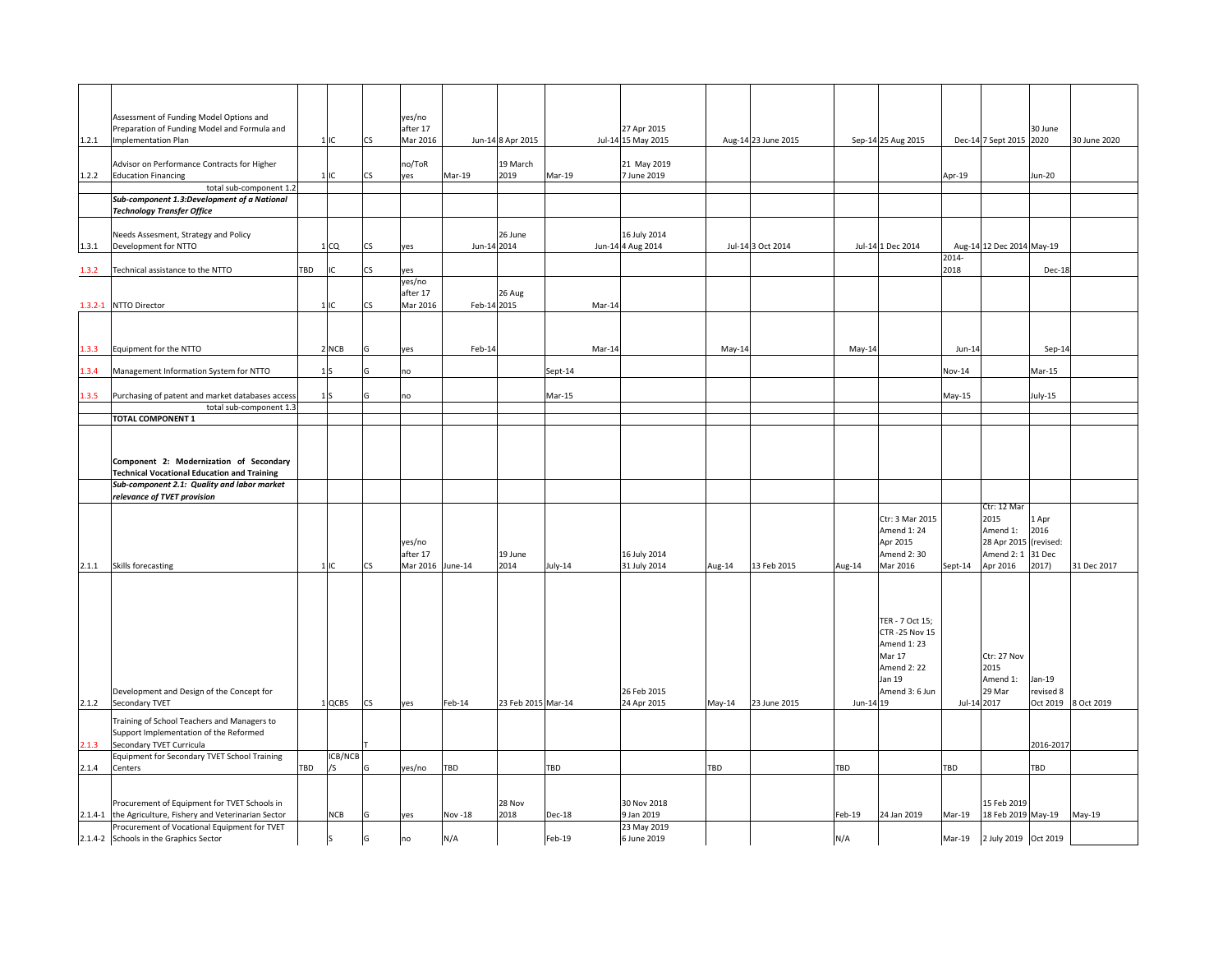|             | Assessment of Funding Model Options and                                                          |     |               |                 | yes/no                         |             |                    |               |                                   |          |                     |           |                                     |               |                             |           |                     |
|-------------|--------------------------------------------------------------------------------------------------|-----|---------------|-----------------|--------------------------------|-------------|--------------------|---------------|-----------------------------------|----------|---------------------|-----------|-------------------------------------|---------------|-----------------------------|-----------|---------------------|
| 1.2.1       | Preparation of Funding Model and Formula and<br><b>Implementation Plan</b>                       |     | 1IC           | <b>CS</b>       | after 17<br>Mar 2016           |             | Jun-14 8 Apr 2015  |               | 27 Apr 2015<br>Jul-14 15 May 2015 |          | Aug-14 23 June 2015 |           | Sep-14 25 Aug 2015                  |               | Dec-14 7 Sept 2015 2020     | 30 June   | 30 June 2020        |
| 1.2.2       | Advisor on Performance Contracts for Higher<br><b>Education Financing</b>                        |     | Llıc.         | CS.             | no/ToR<br>yes                  | Mar-19      | 19 March<br>2019   | Mar-19        | 21 May 2019<br>7 June 2019        |          |                     |           |                                     | Apr-19        |                             | Jun-20    |                     |
|             | total sub-component 1.2                                                                          |     |               |                 |                                |             |                    |               |                                   |          |                     |           |                                     |               |                             |           |                     |
|             | Sub-component 1.3:Development of a National<br><b>Technology Transfer Office</b>                 |     |               |                 |                                |             |                    |               |                                   |          |                     |           |                                     |               |                             |           |                     |
| 1.3.1       | Needs Assesment, Strategy and Policy<br>Development for NTTO                                     |     | 1CQ           | CS              | yes                            | Jun-14 2014 | 26 June            |               | 16 July 2014<br>Jun-14 4 Aug 2014 |          | Jul-14 3 Oct 2014   |           | Jul-14 1 Dec 2014                   |               | Aug-14 12 Dec 2014 May-19   |           |                     |
| 1.3.2       | Technical assistance to the NTTO                                                                 | TBD |               | ٦Ś              | es/                            |             |                    |               |                                   |          |                     |           |                                     | 2014-<br>2018 |                             | Dec-18    |                     |
|             |                                                                                                  |     |               | CS.             | yes/no<br>after 17<br>Mar 2016 | Feb-14 2015 | 26 Aug             |               |                                   |          |                     |           |                                     |               |                             |           |                     |
| $1.3.2 - 1$ | <b>NTTO Director</b>                                                                             |     | $1$ IC        |                 |                                |             |                    | Mar-14        |                                   |          |                     |           |                                     |               |                             |           |                     |
| .3.3        | Equipment for the NTTO                                                                           |     | 2 NCB         |                 | yes                            | Feb-14      |                    | $Mar-14$      |                                   | May-14   |                     | May-14    |                                     | $Jun-14$      |                             | $Sep-14$  |                     |
| .3.4        | Management Information System for NTTO                                                           |     |               |                 | no                             |             |                    | Sept-14       |                                   |          |                     |           |                                     | Nov-14        |                             | Mar-15    |                     |
| .3.5        | Purchasing of patent and market databases access<br>total sub-component 1.3                      |     | 1S            |                 | no                             |             |                    | Mar-15        |                                   |          |                     |           |                                     | May-15        |                             | July-15   |                     |
|             | TOTAL COMPONENT 1                                                                                |     |               |                 |                                |             |                    |               |                                   |          |                     |           |                                     |               |                             |           |                     |
|             |                                                                                                  |     |               |                 |                                |             |                    |               |                                   |          |                     |           |                                     |               |                             |           |                     |
|             |                                                                                                  |     |               |                 |                                |             |                    |               |                                   |          |                     |           |                                     |               |                             |           |                     |
|             | Component 2: Modernization of Secondary                                                          |     |               |                 |                                |             |                    |               |                                   |          |                     |           |                                     |               |                             |           |                     |
|             | <b>Technical Vocational Education and Training</b>                                               |     |               |                 |                                |             |                    |               |                                   |          |                     |           |                                     |               |                             |           |                     |
|             | Sub-component 2.1: Quality and labor market                                                      |     |               |                 |                                |             |                    |               |                                   |          |                     |           |                                     |               |                             |           |                     |
|             | relevance of TVET provision                                                                      |     |               |                 |                                |             |                    |               |                                   |          |                     |           |                                     |               |                             |           |                     |
|             |                                                                                                  |     |               |                 |                                |             |                    |               |                                   |          |                     |           | Ctr: 3 Mar 2015                     |               | Ctr: 12 Mar<br>2015         | 1 Apr     |                     |
|             |                                                                                                  |     |               |                 |                                |             |                    |               |                                   |          |                     |           | Amend 1: 24                         |               | Amend 1:                    | 2016      |                     |
|             |                                                                                                  |     |               |                 | yes/no                         |             |                    |               |                                   |          |                     |           | Apr 2015                            |               | 28 Apr 2015                 | (revised: |                     |
|             |                                                                                                  |     |               |                 | after 17                       |             | 19 June            |               | 16 July 2014                      |          |                     |           | Amend 2:30                          |               | Amend 2: 1 31 Dec           |           |                     |
| 2.1.1       | Skills forecasting                                                                               |     | 1IC           | <b>CS</b>       | Mar 2016 June-14               |             | 2014               | July-14       | 31 July 2014                      | Aug-14   | 13 Feb 2015         | Aug-14    | Mar 2016                            | Sept-14       | Apr 2016                    | 2017)     | 31 Dec 2017         |
|             |                                                                                                  |     |               |                 |                                |             |                    |               |                                   |          |                     |           |                                     |               |                             |           |                     |
|             |                                                                                                  |     |               |                 |                                |             |                    |               |                                   |          |                     |           |                                     |               |                             |           |                     |
|             |                                                                                                  |     |               |                 |                                |             |                    |               |                                   |          |                     |           |                                     |               |                             |           |                     |
|             |                                                                                                  |     |               |                 |                                |             |                    |               |                                   |          |                     |           | TER - 7 Oct 15;                     |               |                             |           |                     |
|             |                                                                                                  |     |               |                 |                                |             |                    |               |                                   |          |                     |           | <b>CTR-25 Nov 15</b><br>Amend 1: 23 |               |                             |           |                     |
|             |                                                                                                  |     |               |                 |                                |             |                    |               |                                   |          |                     |           | <b>Mar 17</b>                       |               | Ctr: 27 Nov                 |           |                     |
|             |                                                                                                  |     |               |                 |                                |             |                    |               |                                   |          |                     |           | <b>Amend 2: 22</b>                  |               | 2015                        |           |                     |
|             |                                                                                                  |     |               |                 |                                |             |                    |               |                                   |          |                     |           | Jan 19                              |               | Amend 1:                    | Jan-19    |                     |
|             | Development and Design of the Concept for                                                        |     |               |                 |                                |             |                    |               | 26 Feb 2015                       |          |                     |           | Amend 3: 6 Jun                      |               | 29 Mar                      | revised 8 |                     |
| 2.1.2       | Secondary TVET                                                                                   |     | 1 QCBS        | $\mathsf{CS}\,$ | yes                            | Feb-14      | 23 Feb 2015 Mar-14 |               | 24 Apr 2015                       | $May-14$ | 23 June 2015        | Jun-14 19 |                                     | Jul-14 2017   |                             |           | Oct 2019 8 Oct 2019 |
|             | Training of School Teachers and Managers to                                                      |     |               |                 |                                |             |                    |               |                                   |          |                     |           |                                     |               |                             |           |                     |
|             | Support Implementation of the Reformed                                                           |     |               |                 |                                |             |                    |               |                                   |          |                     |           |                                     |               |                             |           |                     |
| 2.1.3       | Secondary TVET Curricula                                                                         |     |               |                 |                                |             |                    |               |                                   |          |                     |           |                                     |               |                             | 2016-2017 |                     |
| 2.1.4       | Equipment for Secondary TVET School Training<br>Centers                                          | TBD | ICB/NCB<br>/S |                 | yes/no                         | TBD         |                    | TBD           |                                   | TBD      |                     | TBD       |                                     | TBD           |                             | TBD       |                     |
|             |                                                                                                  |     |               |                 |                                |             |                    |               |                                   |          |                     |           |                                     |               |                             |           |                     |
|             |                                                                                                  |     |               |                 |                                |             |                    |               |                                   |          |                     |           |                                     |               |                             |           |                     |
|             | Procurement of Equipment for TVET Schools in                                                     |     |               |                 |                                |             | 28 Nov             |               | 30 Nov 2018                       |          |                     |           |                                     |               | 15 Feb 2019                 |           |                     |
| $2.1.4 - 1$ | the Agriculture, Fishery and Veterinarian Sector<br>Procurement of Vocational Equipment for TVET |     | <b>NCB</b>    |                 | yes                            | Nov -18     | 2018               | <b>Dec-18</b> | 9 Jan 2019<br>23 May 2019         |          |                     | Feb-19    | 24 Jan 2019                         | Mar-19        | 18 Feb 2019 May-19          |           | May-19              |
|             | 2.1.4-2 Schools in the Graphics Sector                                                           |     | S             | G               | no                             | N/A         |                    | Feb-19        | 6 June 2019                       |          |                     | N/A       |                                     |               | Mar-19 2 July 2019 Oct 2019 |           |                     |
|             |                                                                                                  |     |               |                 |                                |             |                    |               |                                   |          |                     |           |                                     |               |                             |           |                     |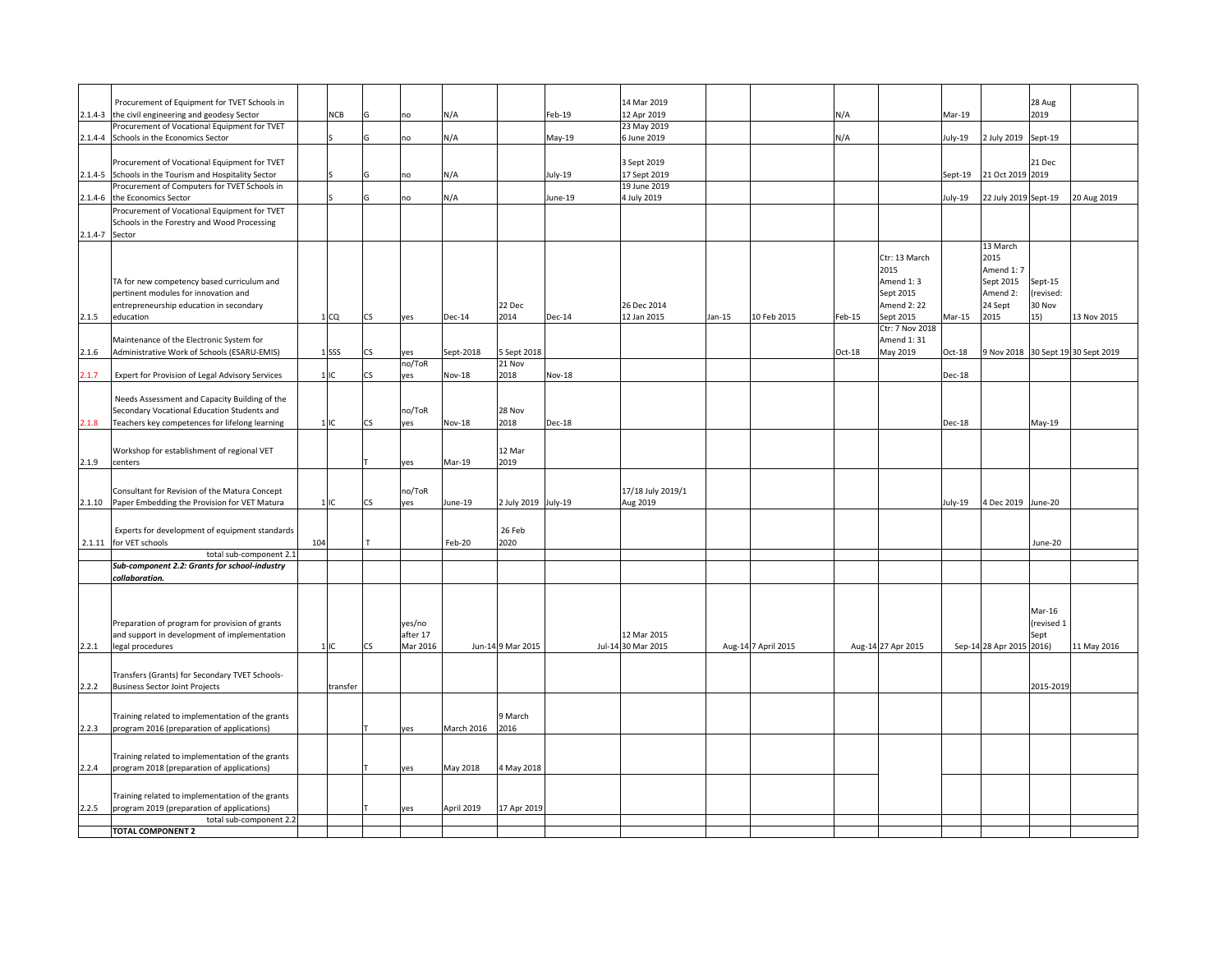| Procurement of Equipment for TVET Schools in<br>14 Mar 2019<br>28 Aug<br>the civil engineering and geodesy Sector<br>12 Apr 2019<br>2019<br>$2.1.4 - 3$<br>NCB<br>N/A<br>Feb-19<br>N/A<br>Mar-19<br>no<br>Procurement of Vocational Equipment for TVET<br>23 May 2019<br>6 June 2019<br>$2.1.4 - 4$<br>Schools in the Economics Sector<br>N/A<br>May-19<br>N/A<br>$uly-19$<br>2 July 2019<br>Sept-19<br>no<br>Procurement of Vocational Equipment for TVET<br>3 Sept 2019<br>21 Dec<br>2.1.4-5 Schools in the Tourism and Hospitality Sector<br>July-19<br>17 Sept 2019<br>21 Oct 2019<br>2019<br>N/A<br>Sept-19<br>no<br>Procurement of Computers for TVET Schools in<br>19 June 2019<br>N/A<br>22 July 2019 Sept-19<br>2.1.4-6 the Economics Sector<br>June-19<br>4 July 2019<br>20 Aug 2019<br>uly-19<br>no<br>Procurement of Vocational Equipment for TVET<br>Schools in the Forestry and Wood Processing<br>2.1.4-7 Sector<br>13 March<br>2015<br>Ctr: 13 March<br>2015<br>Amend 1: 7<br>TA for new competency based curriculum and<br>Amend 1:3<br>Sept 2015<br>Sept-15<br>pertinent modules for innovation and<br>Sept 2015<br>Amend 2:<br>revised:<br><b>Amend 2: 22</b><br>24 Sept<br>30 Nov<br>entrepreneurship education in secondary<br>22 Dec<br>26 Dec 2014<br>education<br><b>Dec-14</b><br>2014<br>12 Jan 2015<br>10 Feb 2015<br>Feb-15<br>Sept 2015<br>$Mar-15$<br>2015<br>15)<br>13 Nov 2015<br>2.1.5<br>1 <sub>CO</sub><br><b>CS</b><br><b>Dec-14</b><br>Jan-15<br>yes<br>Ctr: 7 Nov 2018<br>Maintenance of the Electronic System for<br>Amend 1:31<br>Administrative Work of Schools (ESARU-EMIS)<br>$1$ <sub>SSS</sub><br>Sept-2018<br>5 Sept 2018<br>$Oct-18$<br>May 2019<br>$Oct-18$<br>9 Nov 2018 30 Sept 19 30 Sept 2019<br>2.1.6<br>CS<br>yes<br>no/ToR<br>21 Nov<br>1IC<br>2018<br>2.1.7<br>Expert for Provision of Legal Advisory Services<br>CS<br>yes<br><b>Nov-18</b><br><b>Nov-18</b><br><b>Dec-18</b><br>Needs Assessment and Capacity Building of the<br>Secondary Vocational Education Students and<br>no/ToR<br>28 Nov<br>2018<br>Teachers key competences for lifelong learning<br><b>Nov-18</b><br>2.1.8<br>1 IC<br>CS<br>yes<br><b>Dec-18</b><br>Dec-18<br>May-19<br>12 Mar<br>Workshop for establishment of regional VET<br>2019<br>centers<br>Mar-19<br>ves<br>no/ToR<br>17/18 July 2019/1<br>Consultant for Revision of the Matura Concept<br>4 Dec 2019 June-20<br>2.1.10<br>Paper Embedding the Provision for VET Matura<br>1IC<br>CS<br>ves<br>June-19<br>2 July 2019 July-19<br>Aug 2019<br>uly-19<br>26 Feb<br>Experts for development of equipment standards<br>for VET schools<br>104<br>Feb-20<br>2020<br>2.1.11<br>June-20<br>total sub-component 2.1<br>Sub-component 2.2: Grants for school-industry<br>collaboration.<br>Mar-16<br>Preparation of program for provision of grants<br>yes/no<br>revised 1<br>and support in development of implementation<br>after 17<br>12 Mar 2015<br>Sept<br>Mar 2016<br>Jul-14 30 Mar 2015<br>Sep-14 28 Apr 2015<br>2016)<br>legal procedures<br>1IC<br><b>CS</b><br>Jun-14 9 Mar 2015<br>Aug-14 7 April 2015<br>Aug-14 27 Apr 2015<br>11 May 2016<br>Transfers (Grants) for Secondary TVET Schools-<br><b>Business Sector Joint Projects</b><br>transfer<br>2015-2019<br>2.2.2<br>Training related to implementation of the grants<br>9 March<br>2016<br>March 2016<br>2.2.3<br>program 2016 (preparation of applications)<br>yes<br>Training related to implementation of the grants<br>2.2.4<br>program 2018 (preparation of applications)<br>May 2018<br>4 May 2018<br>yes<br>Training related to implementation of the grants<br>2.2.5<br>program 2019 (preparation of applications)<br>April 2019<br>17 Apr 2019<br>yes<br>total sub-component 2.2<br><b>TOTAL COMPONENT 2</b> |       |  |  |  |  |  |  |  |  |  |
|-------------------------------------------------------------------------------------------------------------------------------------------------------------------------------------------------------------------------------------------------------------------------------------------------------------------------------------------------------------------------------------------------------------------------------------------------------------------------------------------------------------------------------------------------------------------------------------------------------------------------------------------------------------------------------------------------------------------------------------------------------------------------------------------------------------------------------------------------------------------------------------------------------------------------------------------------------------------------------------------------------------------------------------------------------------------------------------------------------------------------------------------------------------------------------------------------------------------------------------------------------------------------------------------------------------------------------------------------------------------------------------------------------------------------------------------------------------------------------------------------------------------------------------------------------------------------------------------------------------------------------------------------------------------------------------------------------------------------------------------------------------------------------------------------------------------------------------------------------------------------------------------------------------------------------------------------------------------------------------------------------------------------------------------------------------------------------------------------------------------------------------------------------------------------------------------------------------------------------------------------------------------------------------------------------------------------------------------------------------------------------------------------------------------------------------------------------------------------------------------------------------------------------------------------------------------------------------------------------------------------------------------------------------------------------------------------------------------------------------------------------------------------------------------------------------------------------------------------------------------------------------------------------------------------------------------------------------------------------------------------------------------------------------------------------------------------------------------------------------------------------------------------------------------------------------------------------------------------------------------------------------------------------------------------------------------------------------------------------------------------------------------------------------------------------------------------------------------------------------------------------------------------------------------------------------------------------------------------------------------------------------------------------------------------------------------------------------------------------------------------------------------------------|-------|--|--|--|--|--|--|--|--|--|
|                                                                                                                                                                                                                                                                                                                                                                                                                                                                                                                                                                                                                                                                                                                                                                                                                                                                                                                                                                                                                                                                                                                                                                                                                                                                                                                                                                                                                                                                                                                                                                                                                                                                                                                                                                                                                                                                                                                                                                                                                                                                                                                                                                                                                                                                                                                                                                                                                                                                                                                                                                                                                                                                                                                                                                                                                                                                                                                                                                                                                                                                                                                                                                                                                                                                                                                                                                                                                                                                                                                                                                                                                                                                                                                                                                               |       |  |  |  |  |  |  |  |  |  |
|                                                                                                                                                                                                                                                                                                                                                                                                                                                                                                                                                                                                                                                                                                                                                                                                                                                                                                                                                                                                                                                                                                                                                                                                                                                                                                                                                                                                                                                                                                                                                                                                                                                                                                                                                                                                                                                                                                                                                                                                                                                                                                                                                                                                                                                                                                                                                                                                                                                                                                                                                                                                                                                                                                                                                                                                                                                                                                                                                                                                                                                                                                                                                                                                                                                                                                                                                                                                                                                                                                                                                                                                                                                                                                                                                                               |       |  |  |  |  |  |  |  |  |  |
|                                                                                                                                                                                                                                                                                                                                                                                                                                                                                                                                                                                                                                                                                                                                                                                                                                                                                                                                                                                                                                                                                                                                                                                                                                                                                                                                                                                                                                                                                                                                                                                                                                                                                                                                                                                                                                                                                                                                                                                                                                                                                                                                                                                                                                                                                                                                                                                                                                                                                                                                                                                                                                                                                                                                                                                                                                                                                                                                                                                                                                                                                                                                                                                                                                                                                                                                                                                                                                                                                                                                                                                                                                                                                                                                                                               |       |  |  |  |  |  |  |  |  |  |
|                                                                                                                                                                                                                                                                                                                                                                                                                                                                                                                                                                                                                                                                                                                                                                                                                                                                                                                                                                                                                                                                                                                                                                                                                                                                                                                                                                                                                                                                                                                                                                                                                                                                                                                                                                                                                                                                                                                                                                                                                                                                                                                                                                                                                                                                                                                                                                                                                                                                                                                                                                                                                                                                                                                                                                                                                                                                                                                                                                                                                                                                                                                                                                                                                                                                                                                                                                                                                                                                                                                                                                                                                                                                                                                                                                               |       |  |  |  |  |  |  |  |  |  |
|                                                                                                                                                                                                                                                                                                                                                                                                                                                                                                                                                                                                                                                                                                                                                                                                                                                                                                                                                                                                                                                                                                                                                                                                                                                                                                                                                                                                                                                                                                                                                                                                                                                                                                                                                                                                                                                                                                                                                                                                                                                                                                                                                                                                                                                                                                                                                                                                                                                                                                                                                                                                                                                                                                                                                                                                                                                                                                                                                                                                                                                                                                                                                                                                                                                                                                                                                                                                                                                                                                                                                                                                                                                                                                                                                                               |       |  |  |  |  |  |  |  |  |  |
|                                                                                                                                                                                                                                                                                                                                                                                                                                                                                                                                                                                                                                                                                                                                                                                                                                                                                                                                                                                                                                                                                                                                                                                                                                                                                                                                                                                                                                                                                                                                                                                                                                                                                                                                                                                                                                                                                                                                                                                                                                                                                                                                                                                                                                                                                                                                                                                                                                                                                                                                                                                                                                                                                                                                                                                                                                                                                                                                                                                                                                                                                                                                                                                                                                                                                                                                                                                                                                                                                                                                                                                                                                                                                                                                                                               |       |  |  |  |  |  |  |  |  |  |
|                                                                                                                                                                                                                                                                                                                                                                                                                                                                                                                                                                                                                                                                                                                                                                                                                                                                                                                                                                                                                                                                                                                                                                                                                                                                                                                                                                                                                                                                                                                                                                                                                                                                                                                                                                                                                                                                                                                                                                                                                                                                                                                                                                                                                                                                                                                                                                                                                                                                                                                                                                                                                                                                                                                                                                                                                                                                                                                                                                                                                                                                                                                                                                                                                                                                                                                                                                                                                                                                                                                                                                                                                                                                                                                                                                               |       |  |  |  |  |  |  |  |  |  |
|                                                                                                                                                                                                                                                                                                                                                                                                                                                                                                                                                                                                                                                                                                                                                                                                                                                                                                                                                                                                                                                                                                                                                                                                                                                                                                                                                                                                                                                                                                                                                                                                                                                                                                                                                                                                                                                                                                                                                                                                                                                                                                                                                                                                                                                                                                                                                                                                                                                                                                                                                                                                                                                                                                                                                                                                                                                                                                                                                                                                                                                                                                                                                                                                                                                                                                                                                                                                                                                                                                                                                                                                                                                                                                                                                                               |       |  |  |  |  |  |  |  |  |  |
|                                                                                                                                                                                                                                                                                                                                                                                                                                                                                                                                                                                                                                                                                                                                                                                                                                                                                                                                                                                                                                                                                                                                                                                                                                                                                                                                                                                                                                                                                                                                                                                                                                                                                                                                                                                                                                                                                                                                                                                                                                                                                                                                                                                                                                                                                                                                                                                                                                                                                                                                                                                                                                                                                                                                                                                                                                                                                                                                                                                                                                                                                                                                                                                                                                                                                                                                                                                                                                                                                                                                                                                                                                                                                                                                                                               |       |  |  |  |  |  |  |  |  |  |
|                                                                                                                                                                                                                                                                                                                                                                                                                                                                                                                                                                                                                                                                                                                                                                                                                                                                                                                                                                                                                                                                                                                                                                                                                                                                                                                                                                                                                                                                                                                                                                                                                                                                                                                                                                                                                                                                                                                                                                                                                                                                                                                                                                                                                                                                                                                                                                                                                                                                                                                                                                                                                                                                                                                                                                                                                                                                                                                                                                                                                                                                                                                                                                                                                                                                                                                                                                                                                                                                                                                                                                                                                                                                                                                                                                               |       |  |  |  |  |  |  |  |  |  |
|                                                                                                                                                                                                                                                                                                                                                                                                                                                                                                                                                                                                                                                                                                                                                                                                                                                                                                                                                                                                                                                                                                                                                                                                                                                                                                                                                                                                                                                                                                                                                                                                                                                                                                                                                                                                                                                                                                                                                                                                                                                                                                                                                                                                                                                                                                                                                                                                                                                                                                                                                                                                                                                                                                                                                                                                                                                                                                                                                                                                                                                                                                                                                                                                                                                                                                                                                                                                                                                                                                                                                                                                                                                                                                                                                                               |       |  |  |  |  |  |  |  |  |  |
|                                                                                                                                                                                                                                                                                                                                                                                                                                                                                                                                                                                                                                                                                                                                                                                                                                                                                                                                                                                                                                                                                                                                                                                                                                                                                                                                                                                                                                                                                                                                                                                                                                                                                                                                                                                                                                                                                                                                                                                                                                                                                                                                                                                                                                                                                                                                                                                                                                                                                                                                                                                                                                                                                                                                                                                                                                                                                                                                                                                                                                                                                                                                                                                                                                                                                                                                                                                                                                                                                                                                                                                                                                                                                                                                                                               |       |  |  |  |  |  |  |  |  |  |
|                                                                                                                                                                                                                                                                                                                                                                                                                                                                                                                                                                                                                                                                                                                                                                                                                                                                                                                                                                                                                                                                                                                                                                                                                                                                                                                                                                                                                                                                                                                                                                                                                                                                                                                                                                                                                                                                                                                                                                                                                                                                                                                                                                                                                                                                                                                                                                                                                                                                                                                                                                                                                                                                                                                                                                                                                                                                                                                                                                                                                                                                                                                                                                                                                                                                                                                                                                                                                                                                                                                                                                                                                                                                                                                                                                               |       |  |  |  |  |  |  |  |  |  |
|                                                                                                                                                                                                                                                                                                                                                                                                                                                                                                                                                                                                                                                                                                                                                                                                                                                                                                                                                                                                                                                                                                                                                                                                                                                                                                                                                                                                                                                                                                                                                                                                                                                                                                                                                                                                                                                                                                                                                                                                                                                                                                                                                                                                                                                                                                                                                                                                                                                                                                                                                                                                                                                                                                                                                                                                                                                                                                                                                                                                                                                                                                                                                                                                                                                                                                                                                                                                                                                                                                                                                                                                                                                                                                                                                                               |       |  |  |  |  |  |  |  |  |  |
|                                                                                                                                                                                                                                                                                                                                                                                                                                                                                                                                                                                                                                                                                                                                                                                                                                                                                                                                                                                                                                                                                                                                                                                                                                                                                                                                                                                                                                                                                                                                                                                                                                                                                                                                                                                                                                                                                                                                                                                                                                                                                                                                                                                                                                                                                                                                                                                                                                                                                                                                                                                                                                                                                                                                                                                                                                                                                                                                                                                                                                                                                                                                                                                                                                                                                                                                                                                                                                                                                                                                                                                                                                                                                                                                                                               |       |  |  |  |  |  |  |  |  |  |
|                                                                                                                                                                                                                                                                                                                                                                                                                                                                                                                                                                                                                                                                                                                                                                                                                                                                                                                                                                                                                                                                                                                                                                                                                                                                                                                                                                                                                                                                                                                                                                                                                                                                                                                                                                                                                                                                                                                                                                                                                                                                                                                                                                                                                                                                                                                                                                                                                                                                                                                                                                                                                                                                                                                                                                                                                                                                                                                                                                                                                                                                                                                                                                                                                                                                                                                                                                                                                                                                                                                                                                                                                                                                                                                                                                               |       |  |  |  |  |  |  |  |  |  |
|                                                                                                                                                                                                                                                                                                                                                                                                                                                                                                                                                                                                                                                                                                                                                                                                                                                                                                                                                                                                                                                                                                                                                                                                                                                                                                                                                                                                                                                                                                                                                                                                                                                                                                                                                                                                                                                                                                                                                                                                                                                                                                                                                                                                                                                                                                                                                                                                                                                                                                                                                                                                                                                                                                                                                                                                                                                                                                                                                                                                                                                                                                                                                                                                                                                                                                                                                                                                                                                                                                                                                                                                                                                                                                                                                                               |       |  |  |  |  |  |  |  |  |  |
|                                                                                                                                                                                                                                                                                                                                                                                                                                                                                                                                                                                                                                                                                                                                                                                                                                                                                                                                                                                                                                                                                                                                                                                                                                                                                                                                                                                                                                                                                                                                                                                                                                                                                                                                                                                                                                                                                                                                                                                                                                                                                                                                                                                                                                                                                                                                                                                                                                                                                                                                                                                                                                                                                                                                                                                                                                                                                                                                                                                                                                                                                                                                                                                                                                                                                                                                                                                                                                                                                                                                                                                                                                                                                                                                                                               |       |  |  |  |  |  |  |  |  |  |
|                                                                                                                                                                                                                                                                                                                                                                                                                                                                                                                                                                                                                                                                                                                                                                                                                                                                                                                                                                                                                                                                                                                                                                                                                                                                                                                                                                                                                                                                                                                                                                                                                                                                                                                                                                                                                                                                                                                                                                                                                                                                                                                                                                                                                                                                                                                                                                                                                                                                                                                                                                                                                                                                                                                                                                                                                                                                                                                                                                                                                                                                                                                                                                                                                                                                                                                                                                                                                                                                                                                                                                                                                                                                                                                                                                               |       |  |  |  |  |  |  |  |  |  |
|                                                                                                                                                                                                                                                                                                                                                                                                                                                                                                                                                                                                                                                                                                                                                                                                                                                                                                                                                                                                                                                                                                                                                                                                                                                                                                                                                                                                                                                                                                                                                                                                                                                                                                                                                                                                                                                                                                                                                                                                                                                                                                                                                                                                                                                                                                                                                                                                                                                                                                                                                                                                                                                                                                                                                                                                                                                                                                                                                                                                                                                                                                                                                                                                                                                                                                                                                                                                                                                                                                                                                                                                                                                                                                                                                                               |       |  |  |  |  |  |  |  |  |  |
|                                                                                                                                                                                                                                                                                                                                                                                                                                                                                                                                                                                                                                                                                                                                                                                                                                                                                                                                                                                                                                                                                                                                                                                                                                                                                                                                                                                                                                                                                                                                                                                                                                                                                                                                                                                                                                                                                                                                                                                                                                                                                                                                                                                                                                                                                                                                                                                                                                                                                                                                                                                                                                                                                                                                                                                                                                                                                                                                                                                                                                                                                                                                                                                                                                                                                                                                                                                                                                                                                                                                                                                                                                                                                                                                                                               |       |  |  |  |  |  |  |  |  |  |
|                                                                                                                                                                                                                                                                                                                                                                                                                                                                                                                                                                                                                                                                                                                                                                                                                                                                                                                                                                                                                                                                                                                                                                                                                                                                                                                                                                                                                                                                                                                                                                                                                                                                                                                                                                                                                                                                                                                                                                                                                                                                                                                                                                                                                                                                                                                                                                                                                                                                                                                                                                                                                                                                                                                                                                                                                                                                                                                                                                                                                                                                                                                                                                                                                                                                                                                                                                                                                                                                                                                                                                                                                                                                                                                                                                               |       |  |  |  |  |  |  |  |  |  |
|                                                                                                                                                                                                                                                                                                                                                                                                                                                                                                                                                                                                                                                                                                                                                                                                                                                                                                                                                                                                                                                                                                                                                                                                                                                                                                                                                                                                                                                                                                                                                                                                                                                                                                                                                                                                                                                                                                                                                                                                                                                                                                                                                                                                                                                                                                                                                                                                                                                                                                                                                                                                                                                                                                                                                                                                                                                                                                                                                                                                                                                                                                                                                                                                                                                                                                                                                                                                                                                                                                                                                                                                                                                                                                                                                                               |       |  |  |  |  |  |  |  |  |  |
|                                                                                                                                                                                                                                                                                                                                                                                                                                                                                                                                                                                                                                                                                                                                                                                                                                                                                                                                                                                                                                                                                                                                                                                                                                                                                                                                                                                                                                                                                                                                                                                                                                                                                                                                                                                                                                                                                                                                                                                                                                                                                                                                                                                                                                                                                                                                                                                                                                                                                                                                                                                                                                                                                                                                                                                                                                                                                                                                                                                                                                                                                                                                                                                                                                                                                                                                                                                                                                                                                                                                                                                                                                                                                                                                                                               |       |  |  |  |  |  |  |  |  |  |
|                                                                                                                                                                                                                                                                                                                                                                                                                                                                                                                                                                                                                                                                                                                                                                                                                                                                                                                                                                                                                                                                                                                                                                                                                                                                                                                                                                                                                                                                                                                                                                                                                                                                                                                                                                                                                                                                                                                                                                                                                                                                                                                                                                                                                                                                                                                                                                                                                                                                                                                                                                                                                                                                                                                                                                                                                                                                                                                                                                                                                                                                                                                                                                                                                                                                                                                                                                                                                                                                                                                                                                                                                                                                                                                                                                               |       |  |  |  |  |  |  |  |  |  |
|                                                                                                                                                                                                                                                                                                                                                                                                                                                                                                                                                                                                                                                                                                                                                                                                                                                                                                                                                                                                                                                                                                                                                                                                                                                                                                                                                                                                                                                                                                                                                                                                                                                                                                                                                                                                                                                                                                                                                                                                                                                                                                                                                                                                                                                                                                                                                                                                                                                                                                                                                                                                                                                                                                                                                                                                                                                                                                                                                                                                                                                                                                                                                                                                                                                                                                                                                                                                                                                                                                                                                                                                                                                                                                                                                                               |       |  |  |  |  |  |  |  |  |  |
|                                                                                                                                                                                                                                                                                                                                                                                                                                                                                                                                                                                                                                                                                                                                                                                                                                                                                                                                                                                                                                                                                                                                                                                                                                                                                                                                                                                                                                                                                                                                                                                                                                                                                                                                                                                                                                                                                                                                                                                                                                                                                                                                                                                                                                                                                                                                                                                                                                                                                                                                                                                                                                                                                                                                                                                                                                                                                                                                                                                                                                                                                                                                                                                                                                                                                                                                                                                                                                                                                                                                                                                                                                                                                                                                                                               |       |  |  |  |  |  |  |  |  |  |
|                                                                                                                                                                                                                                                                                                                                                                                                                                                                                                                                                                                                                                                                                                                                                                                                                                                                                                                                                                                                                                                                                                                                                                                                                                                                                                                                                                                                                                                                                                                                                                                                                                                                                                                                                                                                                                                                                                                                                                                                                                                                                                                                                                                                                                                                                                                                                                                                                                                                                                                                                                                                                                                                                                                                                                                                                                                                                                                                                                                                                                                                                                                                                                                                                                                                                                                                                                                                                                                                                                                                                                                                                                                                                                                                                                               |       |  |  |  |  |  |  |  |  |  |
|                                                                                                                                                                                                                                                                                                                                                                                                                                                                                                                                                                                                                                                                                                                                                                                                                                                                                                                                                                                                                                                                                                                                                                                                                                                                                                                                                                                                                                                                                                                                                                                                                                                                                                                                                                                                                                                                                                                                                                                                                                                                                                                                                                                                                                                                                                                                                                                                                                                                                                                                                                                                                                                                                                                                                                                                                                                                                                                                                                                                                                                                                                                                                                                                                                                                                                                                                                                                                                                                                                                                                                                                                                                                                                                                                                               |       |  |  |  |  |  |  |  |  |  |
|                                                                                                                                                                                                                                                                                                                                                                                                                                                                                                                                                                                                                                                                                                                                                                                                                                                                                                                                                                                                                                                                                                                                                                                                                                                                                                                                                                                                                                                                                                                                                                                                                                                                                                                                                                                                                                                                                                                                                                                                                                                                                                                                                                                                                                                                                                                                                                                                                                                                                                                                                                                                                                                                                                                                                                                                                                                                                                                                                                                                                                                                                                                                                                                                                                                                                                                                                                                                                                                                                                                                                                                                                                                                                                                                                                               |       |  |  |  |  |  |  |  |  |  |
|                                                                                                                                                                                                                                                                                                                                                                                                                                                                                                                                                                                                                                                                                                                                                                                                                                                                                                                                                                                                                                                                                                                                                                                                                                                                                                                                                                                                                                                                                                                                                                                                                                                                                                                                                                                                                                                                                                                                                                                                                                                                                                                                                                                                                                                                                                                                                                                                                                                                                                                                                                                                                                                                                                                                                                                                                                                                                                                                                                                                                                                                                                                                                                                                                                                                                                                                                                                                                                                                                                                                                                                                                                                                                                                                                                               |       |  |  |  |  |  |  |  |  |  |
|                                                                                                                                                                                                                                                                                                                                                                                                                                                                                                                                                                                                                                                                                                                                                                                                                                                                                                                                                                                                                                                                                                                                                                                                                                                                                                                                                                                                                                                                                                                                                                                                                                                                                                                                                                                                                                                                                                                                                                                                                                                                                                                                                                                                                                                                                                                                                                                                                                                                                                                                                                                                                                                                                                                                                                                                                                                                                                                                                                                                                                                                                                                                                                                                                                                                                                                                                                                                                                                                                                                                                                                                                                                                                                                                                                               |       |  |  |  |  |  |  |  |  |  |
|                                                                                                                                                                                                                                                                                                                                                                                                                                                                                                                                                                                                                                                                                                                                                                                                                                                                                                                                                                                                                                                                                                                                                                                                                                                                                                                                                                                                                                                                                                                                                                                                                                                                                                                                                                                                                                                                                                                                                                                                                                                                                                                                                                                                                                                                                                                                                                                                                                                                                                                                                                                                                                                                                                                                                                                                                                                                                                                                                                                                                                                                                                                                                                                                                                                                                                                                                                                                                                                                                                                                                                                                                                                                                                                                                                               | 2.1.9 |  |  |  |  |  |  |  |  |  |
|                                                                                                                                                                                                                                                                                                                                                                                                                                                                                                                                                                                                                                                                                                                                                                                                                                                                                                                                                                                                                                                                                                                                                                                                                                                                                                                                                                                                                                                                                                                                                                                                                                                                                                                                                                                                                                                                                                                                                                                                                                                                                                                                                                                                                                                                                                                                                                                                                                                                                                                                                                                                                                                                                                                                                                                                                                                                                                                                                                                                                                                                                                                                                                                                                                                                                                                                                                                                                                                                                                                                                                                                                                                                                                                                                                               |       |  |  |  |  |  |  |  |  |  |
|                                                                                                                                                                                                                                                                                                                                                                                                                                                                                                                                                                                                                                                                                                                                                                                                                                                                                                                                                                                                                                                                                                                                                                                                                                                                                                                                                                                                                                                                                                                                                                                                                                                                                                                                                                                                                                                                                                                                                                                                                                                                                                                                                                                                                                                                                                                                                                                                                                                                                                                                                                                                                                                                                                                                                                                                                                                                                                                                                                                                                                                                                                                                                                                                                                                                                                                                                                                                                                                                                                                                                                                                                                                                                                                                                                               |       |  |  |  |  |  |  |  |  |  |
|                                                                                                                                                                                                                                                                                                                                                                                                                                                                                                                                                                                                                                                                                                                                                                                                                                                                                                                                                                                                                                                                                                                                                                                                                                                                                                                                                                                                                                                                                                                                                                                                                                                                                                                                                                                                                                                                                                                                                                                                                                                                                                                                                                                                                                                                                                                                                                                                                                                                                                                                                                                                                                                                                                                                                                                                                                                                                                                                                                                                                                                                                                                                                                                                                                                                                                                                                                                                                                                                                                                                                                                                                                                                                                                                                                               |       |  |  |  |  |  |  |  |  |  |
|                                                                                                                                                                                                                                                                                                                                                                                                                                                                                                                                                                                                                                                                                                                                                                                                                                                                                                                                                                                                                                                                                                                                                                                                                                                                                                                                                                                                                                                                                                                                                                                                                                                                                                                                                                                                                                                                                                                                                                                                                                                                                                                                                                                                                                                                                                                                                                                                                                                                                                                                                                                                                                                                                                                                                                                                                                                                                                                                                                                                                                                                                                                                                                                                                                                                                                                                                                                                                                                                                                                                                                                                                                                                                                                                                                               |       |  |  |  |  |  |  |  |  |  |
|                                                                                                                                                                                                                                                                                                                                                                                                                                                                                                                                                                                                                                                                                                                                                                                                                                                                                                                                                                                                                                                                                                                                                                                                                                                                                                                                                                                                                                                                                                                                                                                                                                                                                                                                                                                                                                                                                                                                                                                                                                                                                                                                                                                                                                                                                                                                                                                                                                                                                                                                                                                                                                                                                                                                                                                                                                                                                                                                                                                                                                                                                                                                                                                                                                                                                                                                                                                                                                                                                                                                                                                                                                                                                                                                                                               |       |  |  |  |  |  |  |  |  |  |
|                                                                                                                                                                                                                                                                                                                                                                                                                                                                                                                                                                                                                                                                                                                                                                                                                                                                                                                                                                                                                                                                                                                                                                                                                                                                                                                                                                                                                                                                                                                                                                                                                                                                                                                                                                                                                                                                                                                                                                                                                                                                                                                                                                                                                                                                                                                                                                                                                                                                                                                                                                                                                                                                                                                                                                                                                                                                                                                                                                                                                                                                                                                                                                                                                                                                                                                                                                                                                                                                                                                                                                                                                                                                                                                                                                               |       |  |  |  |  |  |  |  |  |  |
|                                                                                                                                                                                                                                                                                                                                                                                                                                                                                                                                                                                                                                                                                                                                                                                                                                                                                                                                                                                                                                                                                                                                                                                                                                                                                                                                                                                                                                                                                                                                                                                                                                                                                                                                                                                                                                                                                                                                                                                                                                                                                                                                                                                                                                                                                                                                                                                                                                                                                                                                                                                                                                                                                                                                                                                                                                                                                                                                                                                                                                                                                                                                                                                                                                                                                                                                                                                                                                                                                                                                                                                                                                                                                                                                                                               |       |  |  |  |  |  |  |  |  |  |
|                                                                                                                                                                                                                                                                                                                                                                                                                                                                                                                                                                                                                                                                                                                                                                                                                                                                                                                                                                                                                                                                                                                                                                                                                                                                                                                                                                                                                                                                                                                                                                                                                                                                                                                                                                                                                                                                                                                                                                                                                                                                                                                                                                                                                                                                                                                                                                                                                                                                                                                                                                                                                                                                                                                                                                                                                                                                                                                                                                                                                                                                                                                                                                                                                                                                                                                                                                                                                                                                                                                                                                                                                                                                                                                                                                               |       |  |  |  |  |  |  |  |  |  |
|                                                                                                                                                                                                                                                                                                                                                                                                                                                                                                                                                                                                                                                                                                                                                                                                                                                                                                                                                                                                                                                                                                                                                                                                                                                                                                                                                                                                                                                                                                                                                                                                                                                                                                                                                                                                                                                                                                                                                                                                                                                                                                                                                                                                                                                                                                                                                                                                                                                                                                                                                                                                                                                                                                                                                                                                                                                                                                                                                                                                                                                                                                                                                                                                                                                                                                                                                                                                                                                                                                                                                                                                                                                                                                                                                                               |       |  |  |  |  |  |  |  |  |  |
|                                                                                                                                                                                                                                                                                                                                                                                                                                                                                                                                                                                                                                                                                                                                                                                                                                                                                                                                                                                                                                                                                                                                                                                                                                                                                                                                                                                                                                                                                                                                                                                                                                                                                                                                                                                                                                                                                                                                                                                                                                                                                                                                                                                                                                                                                                                                                                                                                                                                                                                                                                                                                                                                                                                                                                                                                                                                                                                                                                                                                                                                                                                                                                                                                                                                                                                                                                                                                                                                                                                                                                                                                                                                                                                                                                               |       |  |  |  |  |  |  |  |  |  |
|                                                                                                                                                                                                                                                                                                                                                                                                                                                                                                                                                                                                                                                                                                                                                                                                                                                                                                                                                                                                                                                                                                                                                                                                                                                                                                                                                                                                                                                                                                                                                                                                                                                                                                                                                                                                                                                                                                                                                                                                                                                                                                                                                                                                                                                                                                                                                                                                                                                                                                                                                                                                                                                                                                                                                                                                                                                                                                                                                                                                                                                                                                                                                                                                                                                                                                                                                                                                                                                                                                                                                                                                                                                                                                                                                                               |       |  |  |  |  |  |  |  |  |  |
|                                                                                                                                                                                                                                                                                                                                                                                                                                                                                                                                                                                                                                                                                                                                                                                                                                                                                                                                                                                                                                                                                                                                                                                                                                                                                                                                                                                                                                                                                                                                                                                                                                                                                                                                                                                                                                                                                                                                                                                                                                                                                                                                                                                                                                                                                                                                                                                                                                                                                                                                                                                                                                                                                                                                                                                                                                                                                                                                                                                                                                                                                                                                                                                                                                                                                                                                                                                                                                                                                                                                                                                                                                                                                                                                                                               |       |  |  |  |  |  |  |  |  |  |
|                                                                                                                                                                                                                                                                                                                                                                                                                                                                                                                                                                                                                                                                                                                                                                                                                                                                                                                                                                                                                                                                                                                                                                                                                                                                                                                                                                                                                                                                                                                                                                                                                                                                                                                                                                                                                                                                                                                                                                                                                                                                                                                                                                                                                                                                                                                                                                                                                                                                                                                                                                                                                                                                                                                                                                                                                                                                                                                                                                                                                                                                                                                                                                                                                                                                                                                                                                                                                                                                                                                                                                                                                                                                                                                                                                               |       |  |  |  |  |  |  |  |  |  |
|                                                                                                                                                                                                                                                                                                                                                                                                                                                                                                                                                                                                                                                                                                                                                                                                                                                                                                                                                                                                                                                                                                                                                                                                                                                                                                                                                                                                                                                                                                                                                                                                                                                                                                                                                                                                                                                                                                                                                                                                                                                                                                                                                                                                                                                                                                                                                                                                                                                                                                                                                                                                                                                                                                                                                                                                                                                                                                                                                                                                                                                                                                                                                                                                                                                                                                                                                                                                                                                                                                                                                                                                                                                                                                                                                                               |       |  |  |  |  |  |  |  |  |  |
|                                                                                                                                                                                                                                                                                                                                                                                                                                                                                                                                                                                                                                                                                                                                                                                                                                                                                                                                                                                                                                                                                                                                                                                                                                                                                                                                                                                                                                                                                                                                                                                                                                                                                                                                                                                                                                                                                                                                                                                                                                                                                                                                                                                                                                                                                                                                                                                                                                                                                                                                                                                                                                                                                                                                                                                                                                                                                                                                                                                                                                                                                                                                                                                                                                                                                                                                                                                                                                                                                                                                                                                                                                                                                                                                                                               |       |  |  |  |  |  |  |  |  |  |
|                                                                                                                                                                                                                                                                                                                                                                                                                                                                                                                                                                                                                                                                                                                                                                                                                                                                                                                                                                                                                                                                                                                                                                                                                                                                                                                                                                                                                                                                                                                                                                                                                                                                                                                                                                                                                                                                                                                                                                                                                                                                                                                                                                                                                                                                                                                                                                                                                                                                                                                                                                                                                                                                                                                                                                                                                                                                                                                                                                                                                                                                                                                                                                                                                                                                                                                                                                                                                                                                                                                                                                                                                                                                                                                                                                               | 2.2.1 |  |  |  |  |  |  |  |  |  |
|                                                                                                                                                                                                                                                                                                                                                                                                                                                                                                                                                                                                                                                                                                                                                                                                                                                                                                                                                                                                                                                                                                                                                                                                                                                                                                                                                                                                                                                                                                                                                                                                                                                                                                                                                                                                                                                                                                                                                                                                                                                                                                                                                                                                                                                                                                                                                                                                                                                                                                                                                                                                                                                                                                                                                                                                                                                                                                                                                                                                                                                                                                                                                                                                                                                                                                                                                                                                                                                                                                                                                                                                                                                                                                                                                                               |       |  |  |  |  |  |  |  |  |  |
|                                                                                                                                                                                                                                                                                                                                                                                                                                                                                                                                                                                                                                                                                                                                                                                                                                                                                                                                                                                                                                                                                                                                                                                                                                                                                                                                                                                                                                                                                                                                                                                                                                                                                                                                                                                                                                                                                                                                                                                                                                                                                                                                                                                                                                                                                                                                                                                                                                                                                                                                                                                                                                                                                                                                                                                                                                                                                                                                                                                                                                                                                                                                                                                                                                                                                                                                                                                                                                                                                                                                                                                                                                                                                                                                                                               |       |  |  |  |  |  |  |  |  |  |
|                                                                                                                                                                                                                                                                                                                                                                                                                                                                                                                                                                                                                                                                                                                                                                                                                                                                                                                                                                                                                                                                                                                                                                                                                                                                                                                                                                                                                                                                                                                                                                                                                                                                                                                                                                                                                                                                                                                                                                                                                                                                                                                                                                                                                                                                                                                                                                                                                                                                                                                                                                                                                                                                                                                                                                                                                                                                                                                                                                                                                                                                                                                                                                                                                                                                                                                                                                                                                                                                                                                                                                                                                                                                                                                                                                               |       |  |  |  |  |  |  |  |  |  |
|                                                                                                                                                                                                                                                                                                                                                                                                                                                                                                                                                                                                                                                                                                                                                                                                                                                                                                                                                                                                                                                                                                                                                                                                                                                                                                                                                                                                                                                                                                                                                                                                                                                                                                                                                                                                                                                                                                                                                                                                                                                                                                                                                                                                                                                                                                                                                                                                                                                                                                                                                                                                                                                                                                                                                                                                                                                                                                                                                                                                                                                                                                                                                                                                                                                                                                                                                                                                                                                                                                                                                                                                                                                                                                                                                                               |       |  |  |  |  |  |  |  |  |  |
|                                                                                                                                                                                                                                                                                                                                                                                                                                                                                                                                                                                                                                                                                                                                                                                                                                                                                                                                                                                                                                                                                                                                                                                                                                                                                                                                                                                                                                                                                                                                                                                                                                                                                                                                                                                                                                                                                                                                                                                                                                                                                                                                                                                                                                                                                                                                                                                                                                                                                                                                                                                                                                                                                                                                                                                                                                                                                                                                                                                                                                                                                                                                                                                                                                                                                                                                                                                                                                                                                                                                                                                                                                                                                                                                                                               |       |  |  |  |  |  |  |  |  |  |
|                                                                                                                                                                                                                                                                                                                                                                                                                                                                                                                                                                                                                                                                                                                                                                                                                                                                                                                                                                                                                                                                                                                                                                                                                                                                                                                                                                                                                                                                                                                                                                                                                                                                                                                                                                                                                                                                                                                                                                                                                                                                                                                                                                                                                                                                                                                                                                                                                                                                                                                                                                                                                                                                                                                                                                                                                                                                                                                                                                                                                                                                                                                                                                                                                                                                                                                                                                                                                                                                                                                                                                                                                                                                                                                                                                               |       |  |  |  |  |  |  |  |  |  |
|                                                                                                                                                                                                                                                                                                                                                                                                                                                                                                                                                                                                                                                                                                                                                                                                                                                                                                                                                                                                                                                                                                                                                                                                                                                                                                                                                                                                                                                                                                                                                                                                                                                                                                                                                                                                                                                                                                                                                                                                                                                                                                                                                                                                                                                                                                                                                                                                                                                                                                                                                                                                                                                                                                                                                                                                                                                                                                                                                                                                                                                                                                                                                                                                                                                                                                                                                                                                                                                                                                                                                                                                                                                                                                                                                                               |       |  |  |  |  |  |  |  |  |  |
|                                                                                                                                                                                                                                                                                                                                                                                                                                                                                                                                                                                                                                                                                                                                                                                                                                                                                                                                                                                                                                                                                                                                                                                                                                                                                                                                                                                                                                                                                                                                                                                                                                                                                                                                                                                                                                                                                                                                                                                                                                                                                                                                                                                                                                                                                                                                                                                                                                                                                                                                                                                                                                                                                                                                                                                                                                                                                                                                                                                                                                                                                                                                                                                                                                                                                                                                                                                                                                                                                                                                                                                                                                                                                                                                                                               |       |  |  |  |  |  |  |  |  |  |
|                                                                                                                                                                                                                                                                                                                                                                                                                                                                                                                                                                                                                                                                                                                                                                                                                                                                                                                                                                                                                                                                                                                                                                                                                                                                                                                                                                                                                                                                                                                                                                                                                                                                                                                                                                                                                                                                                                                                                                                                                                                                                                                                                                                                                                                                                                                                                                                                                                                                                                                                                                                                                                                                                                                                                                                                                                                                                                                                                                                                                                                                                                                                                                                                                                                                                                                                                                                                                                                                                                                                                                                                                                                                                                                                                                               |       |  |  |  |  |  |  |  |  |  |
|                                                                                                                                                                                                                                                                                                                                                                                                                                                                                                                                                                                                                                                                                                                                                                                                                                                                                                                                                                                                                                                                                                                                                                                                                                                                                                                                                                                                                                                                                                                                                                                                                                                                                                                                                                                                                                                                                                                                                                                                                                                                                                                                                                                                                                                                                                                                                                                                                                                                                                                                                                                                                                                                                                                                                                                                                                                                                                                                                                                                                                                                                                                                                                                                                                                                                                                                                                                                                                                                                                                                                                                                                                                                                                                                                                               |       |  |  |  |  |  |  |  |  |  |
|                                                                                                                                                                                                                                                                                                                                                                                                                                                                                                                                                                                                                                                                                                                                                                                                                                                                                                                                                                                                                                                                                                                                                                                                                                                                                                                                                                                                                                                                                                                                                                                                                                                                                                                                                                                                                                                                                                                                                                                                                                                                                                                                                                                                                                                                                                                                                                                                                                                                                                                                                                                                                                                                                                                                                                                                                                                                                                                                                                                                                                                                                                                                                                                                                                                                                                                                                                                                                                                                                                                                                                                                                                                                                                                                                                               |       |  |  |  |  |  |  |  |  |  |
|                                                                                                                                                                                                                                                                                                                                                                                                                                                                                                                                                                                                                                                                                                                                                                                                                                                                                                                                                                                                                                                                                                                                                                                                                                                                                                                                                                                                                                                                                                                                                                                                                                                                                                                                                                                                                                                                                                                                                                                                                                                                                                                                                                                                                                                                                                                                                                                                                                                                                                                                                                                                                                                                                                                                                                                                                                                                                                                                                                                                                                                                                                                                                                                                                                                                                                                                                                                                                                                                                                                                                                                                                                                                                                                                                                               |       |  |  |  |  |  |  |  |  |  |
|                                                                                                                                                                                                                                                                                                                                                                                                                                                                                                                                                                                                                                                                                                                                                                                                                                                                                                                                                                                                                                                                                                                                                                                                                                                                                                                                                                                                                                                                                                                                                                                                                                                                                                                                                                                                                                                                                                                                                                                                                                                                                                                                                                                                                                                                                                                                                                                                                                                                                                                                                                                                                                                                                                                                                                                                                                                                                                                                                                                                                                                                                                                                                                                                                                                                                                                                                                                                                                                                                                                                                                                                                                                                                                                                                                               |       |  |  |  |  |  |  |  |  |  |
|                                                                                                                                                                                                                                                                                                                                                                                                                                                                                                                                                                                                                                                                                                                                                                                                                                                                                                                                                                                                                                                                                                                                                                                                                                                                                                                                                                                                                                                                                                                                                                                                                                                                                                                                                                                                                                                                                                                                                                                                                                                                                                                                                                                                                                                                                                                                                                                                                                                                                                                                                                                                                                                                                                                                                                                                                                                                                                                                                                                                                                                                                                                                                                                                                                                                                                                                                                                                                                                                                                                                                                                                                                                                                                                                                                               |       |  |  |  |  |  |  |  |  |  |
|                                                                                                                                                                                                                                                                                                                                                                                                                                                                                                                                                                                                                                                                                                                                                                                                                                                                                                                                                                                                                                                                                                                                                                                                                                                                                                                                                                                                                                                                                                                                                                                                                                                                                                                                                                                                                                                                                                                                                                                                                                                                                                                                                                                                                                                                                                                                                                                                                                                                                                                                                                                                                                                                                                                                                                                                                                                                                                                                                                                                                                                                                                                                                                                                                                                                                                                                                                                                                                                                                                                                                                                                                                                                                                                                                                               |       |  |  |  |  |  |  |  |  |  |
|                                                                                                                                                                                                                                                                                                                                                                                                                                                                                                                                                                                                                                                                                                                                                                                                                                                                                                                                                                                                                                                                                                                                                                                                                                                                                                                                                                                                                                                                                                                                                                                                                                                                                                                                                                                                                                                                                                                                                                                                                                                                                                                                                                                                                                                                                                                                                                                                                                                                                                                                                                                                                                                                                                                                                                                                                                                                                                                                                                                                                                                                                                                                                                                                                                                                                                                                                                                                                                                                                                                                                                                                                                                                                                                                                                               |       |  |  |  |  |  |  |  |  |  |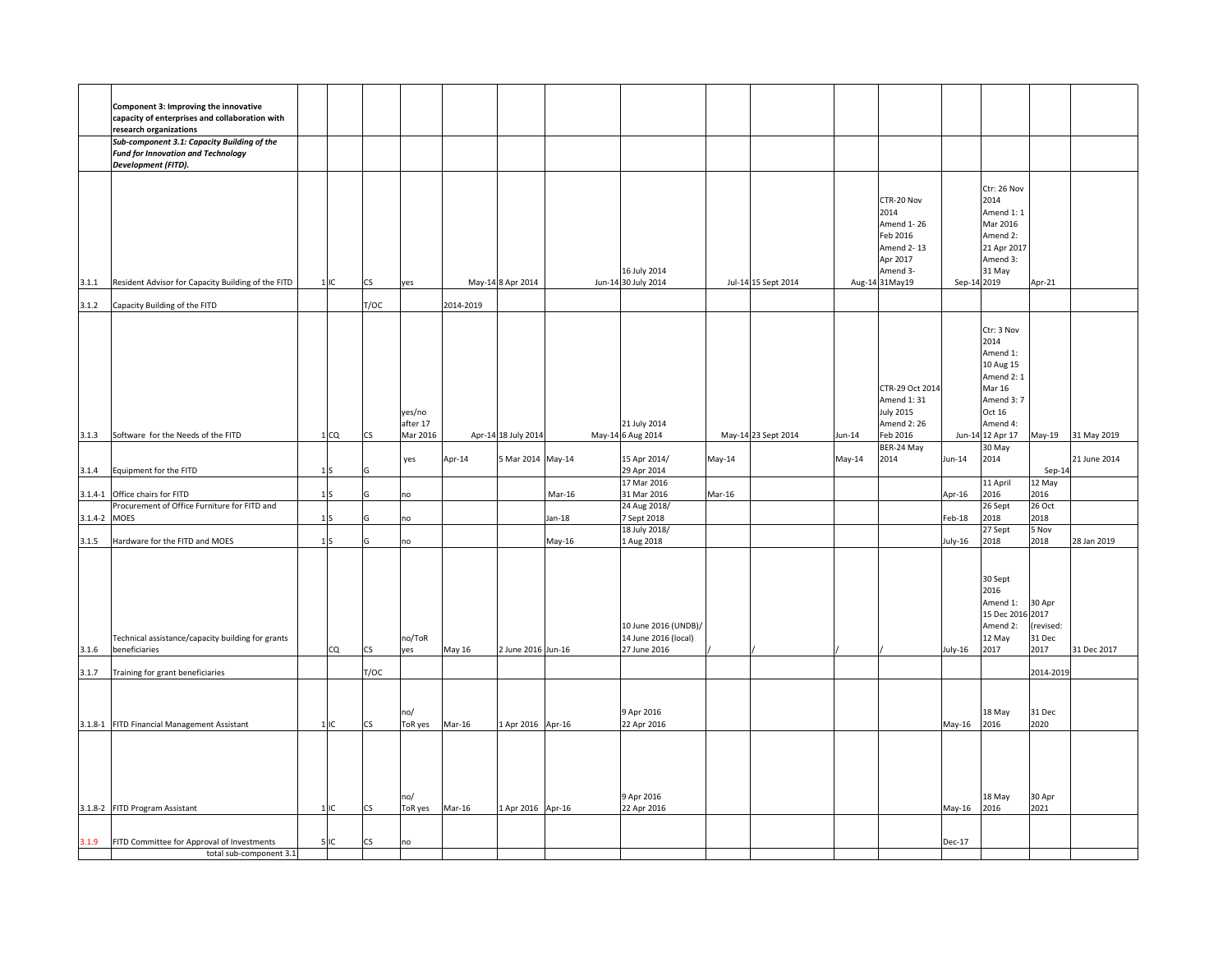|              | Component 3: Improving the innovative<br>capacity of enterprises and collaboration with                         |                 |      |               |           |                     |          |                                      |        |                     |        |                                |             |                         |                     |              |
|--------------|-----------------------------------------------------------------------------------------------------------------|-----------------|------|---------------|-----------|---------------------|----------|--------------------------------------|--------|---------------------|--------|--------------------------------|-------------|-------------------------|---------------------|--------------|
|              | research organizations                                                                                          |                 |      |               |           |                     |          |                                      |        |                     |        |                                |             |                         |                     |              |
|              | Sub-component 3.1: Capacity Building of the<br><b>Fund for Innovation and Technology</b><br>Development (FITD). |                 |      |               |           |                     |          |                                      |        |                     |        |                                |             |                         |                     |              |
|              |                                                                                                                 |                 |      |               |           |                     |          |                                      |        |                     |        |                                |             |                         |                     |              |
|              |                                                                                                                 |                 |      |               |           |                     |          |                                      |        |                     |        | CTR-20 Nov                     |             | Ctr: 26 Nov<br>2014     |                     |              |
|              |                                                                                                                 |                 |      |               |           |                     |          |                                      |        |                     |        | 2014                           |             | Amend 1: 1              |                     |              |
|              |                                                                                                                 |                 |      |               |           |                     |          |                                      |        |                     |        | Amend 1-26                     |             | Mar 2016                |                     |              |
|              |                                                                                                                 |                 |      |               |           |                     |          |                                      |        |                     |        | Feb 2016<br>Amend 2-13         |             | Amend 2:<br>21 Apr 2017 |                     |              |
|              |                                                                                                                 |                 |      |               |           |                     |          |                                      |        |                     |        | Apr 2017                       |             | Amend 3:                |                     |              |
|              |                                                                                                                 |                 |      |               |           |                     |          | 16 July 2014                         |        |                     |        | Amend 3-                       |             | 31 May                  |                     |              |
| 3.1.1        | Resident Advisor for Capacity Building of the FITD                                                              | 1IC             | CS   | yes           |           | May-14 8 Apr 2014   |          | Jun-14 30 July 2014                  |        | Jul-14 15 Sept 2014 |        | Aug-14 31May19                 | Sep-14 2019 |                         | Apr-21              |              |
| 3.1.2        | Capacity Building of the FITD                                                                                   |                 | T/OC |               | 2014-2019 |                     |          |                                      |        |                     |        |                                |             |                         |                     |              |
|              |                                                                                                                 |                 |      |               |           |                     |          |                                      |        |                     |        |                                |             | Ctr: 3 Nov              |                     |              |
|              |                                                                                                                 |                 |      |               |           |                     |          |                                      |        |                     |        |                                |             | 2014                    |                     |              |
|              |                                                                                                                 |                 |      |               |           |                     |          |                                      |        |                     |        |                                |             | Amend 1:<br>10 Aug 15   |                     |              |
|              |                                                                                                                 |                 |      |               |           |                     |          |                                      |        |                     |        |                                |             | Amend 2: 1              |                     |              |
|              |                                                                                                                 |                 |      |               |           |                     |          |                                      |        |                     |        | CTR-29 Oct 2014                |             | <b>Mar 16</b>           |                     |              |
|              |                                                                                                                 |                 |      | yes/no        |           |                     |          |                                      |        |                     |        | Amend 1:31<br><b>July 2015</b> |             | Amend 3: 7<br>Oct 16    |                     |              |
|              |                                                                                                                 |                 |      | after 17      |           |                     |          | 21 July 2014                         |        |                     |        | Amend 2: 26                    |             | Amend 4:                |                     |              |
| 3.1.3        | Software for the Needs of the FITD                                                                              | 1 <sub>CO</sub> |      | Mar 2016      |           | Apr-14 18 July 2014 |          | May-14 6 Aug 2014                    |        | May-14 23 Sept 2014 | un-14  | Feb 2016                       |             | Jun-14 12 Apr 17        | May-19              | 31 May 2019  |
|              |                                                                                                                 |                 |      | yes           | Apr-14    | 5 Mar 2014 May-14   |          | 15 Apr 2014/                         | May-14 |                     | May-14 | BER-24 May<br>2014             | Jun-14      | 30 May<br>2014          |                     | 21 June 2014 |
| 3.1.4        | Equipment for the FITD                                                                                          | 1 <sub>S</sub>  |      |               |           |                     |          | 29 Apr 2014                          |        |                     |        |                                |             |                         | $Sep-14$            |              |
|              | Office chairs for FITD                                                                                          |                 |      |               |           |                     | Mar-16   | 17 Mar 2016<br>31 Mar 2016           |        |                     |        |                                |             | 11 April<br>2016        | 12 May<br>2016      |              |
| $3.1.4 - 1$  | Procurement of Office Furniture for FITD and                                                                    | 1S              |      | no            |           |                     |          | 24 Aug 2018/                         | Mar-16 |                     |        |                                | Apr-16      | 26 Sept                 | 26 Oct              |              |
| 3.1.4-2 MOES |                                                                                                                 | 1 <sub>S</sub>  |      | no            |           |                     | $Jan-18$ | 7 Sept 2018                          |        |                     |        |                                | Feb-18      | 2018                    | 2018                |              |
| 3.1.5        | Hardware for the FITD and MOES                                                                                  | 1 <sub>S</sub>  |      | no            |           |                     | May-16   | 18 July 2018/<br>1 Aug 2018          |        |                     |        |                                | July-16     | 27 Sept<br>2018         | 5 Nov<br>2018       | 28 Jan 2019  |
|              |                                                                                                                 |                 |      |               |           |                     |          |                                      |        |                     |        |                                |             |                         |                     |              |
|              |                                                                                                                 |                 |      |               |           |                     |          |                                      |        |                     |        |                                |             |                         |                     |              |
|              |                                                                                                                 |                 |      |               |           |                     |          |                                      |        |                     |        |                                |             | 30 Sept<br>2016         |                     |              |
|              |                                                                                                                 |                 |      |               |           |                     |          |                                      |        |                     |        |                                |             | Amend 1:                | 30 Apr              |              |
|              |                                                                                                                 |                 |      |               |           |                     |          |                                      |        |                     |        |                                |             | 15 Dec 2016 2017        |                     |              |
|              |                                                                                                                 |                 |      |               |           |                     |          | 10 June 2016 (UNDB)/                 |        |                     |        |                                |             | Amend 2:<br>12 May      | (revised:<br>31 Dec |              |
| 3.1.6        | Technical assistance/capacity building for grants<br>beneficiaries                                              | CQ              | CS   | no/ToR<br>yes | May 16    | 2 June 2016 Jun-16  |          | 14 June 2016 (local)<br>27 June 2016 |        |                     |        |                                | July-16     | 2017                    | 2017                | 31 Dec 2017  |
|              |                                                                                                                 |                 |      |               |           |                     |          |                                      |        |                     |        |                                |             |                         |                     |              |
| 3.1.7        | Training for grant beneficiaries                                                                                |                 | T/OC |               |           |                     |          |                                      |        |                     |        |                                |             |                         | 2014-2019           |              |
|              |                                                                                                                 |                 |      |               |           |                     |          |                                      |        |                     |        |                                |             |                         |                     |              |
|              |                                                                                                                 |                 |      | no/           |           |                     |          | 9 Apr 2016                           |        |                     |        |                                |             | 18 May                  | 31 Dec              |              |
|              | 3.1.8-1 FITD Financial Management Assistant                                                                     | 1IC             | CS   | ToR yes       | Mar-16    | 1 Apr 2016 Apr-16   |          | 22 Apr 2016                          |        |                     |        |                                | May-16      | 2016                    | 2020                |              |
|              |                                                                                                                 |                 |      |               |           |                     |          |                                      |        |                     |        |                                |             |                         |                     |              |
|              |                                                                                                                 |                 |      |               |           |                     |          |                                      |        |                     |        |                                |             |                         |                     |              |
|              |                                                                                                                 |                 |      |               |           |                     |          |                                      |        |                     |        |                                |             |                         |                     |              |
|              |                                                                                                                 |                 |      | no/           |           |                     |          | 9 Apr 2016                           |        |                     |        |                                |             | 18 May                  | 30 Apr              |              |
|              | 3.1.8-2 FITD Program Assistant                                                                                  | 1 <sub>IC</sub> | CS   | ToR yes       | Mar-16    | 1 Apr 2016 Apr-16   |          | 22 Apr 2016                          |        |                     |        |                                | May-16      | 2016                    | 2021                |              |
|              |                                                                                                                 |                 |      |               |           |                     |          |                                      |        |                     |        |                                |             |                         |                     |              |
| 3.1.9        | FITD Committee for Approval of Investments                                                                      | 5 IC            | CS   | no            |           |                     |          |                                      |        |                     |        |                                | Dec-17      |                         |                     |              |
|              | total sub-component 3.1                                                                                         |                 |      |               |           |                     |          |                                      |        |                     |        |                                |             |                         |                     |              |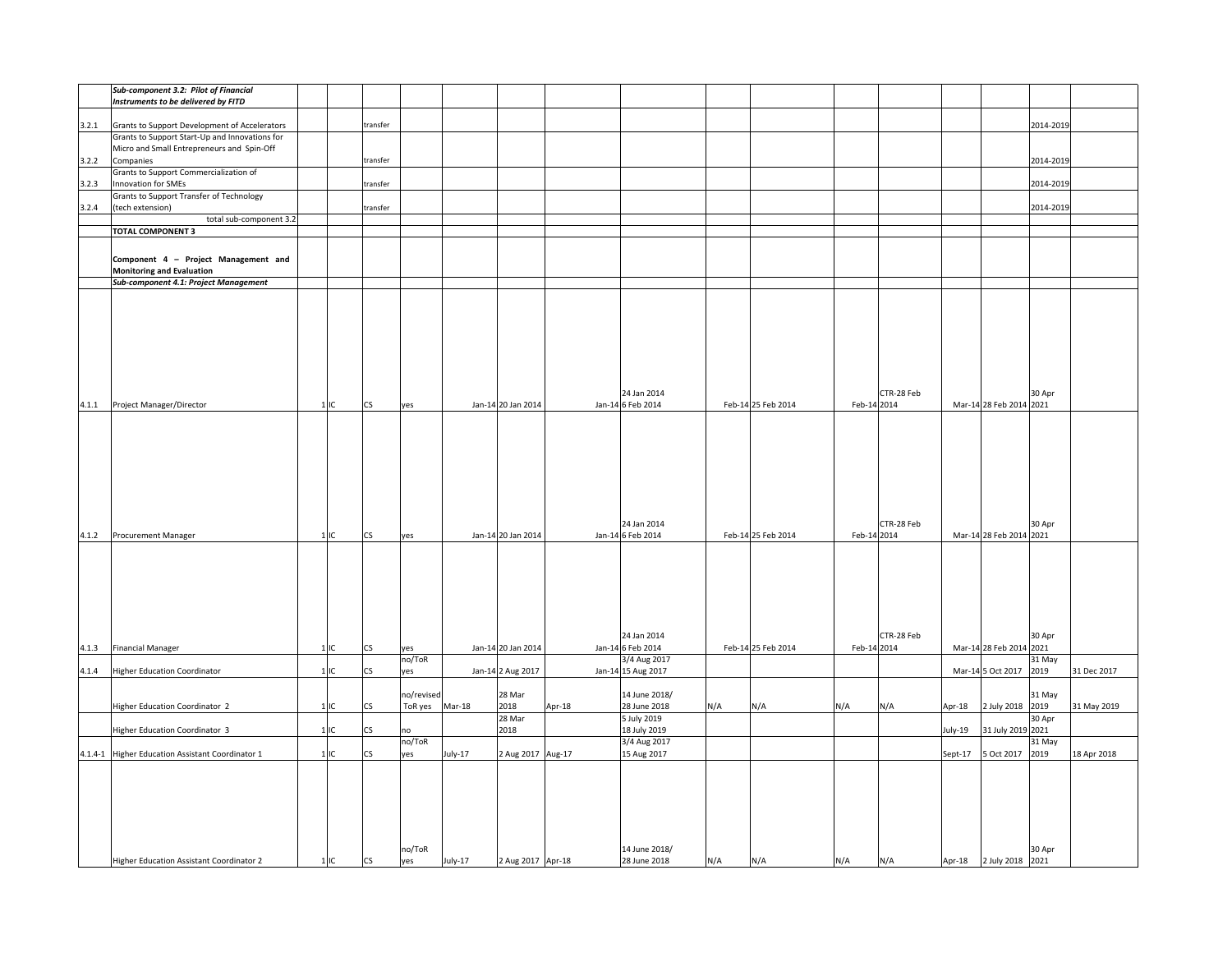|       | Sub-component 3.2: Pilot of Financial               |     |                          |            |         |                    |        |                    |     |                    |             |            |         |                         |           |             |
|-------|-----------------------------------------------------|-----|--------------------------|------------|---------|--------------------|--------|--------------------|-----|--------------------|-------------|------------|---------|-------------------------|-----------|-------------|
|       | Instruments to be delivered by FITD                 |     |                          |            |         |                    |        |                    |     |                    |             |            |         |                         |           |             |
|       |                                                     |     |                          |            |         |                    |        |                    |     |                    |             |            |         |                         |           |             |
| 3.2.1 | Grants to Support Development of Accelerators       |     | transfer                 |            |         |                    |        |                    |     |                    |             |            |         |                         | 2014-2019 |             |
|       | Grants to Support Start-Up and Innovations for      |     |                          |            |         |                    |        |                    |     |                    |             |            |         |                         |           |             |
|       | Micro and Small Entrepreneurs and Spin-Off          |     |                          |            |         |                    |        |                    |     |                    |             |            |         |                         |           |             |
| 3.2.2 | Companies                                           |     | transfer                 |            |         |                    |        |                    |     |                    |             |            |         |                         | 2014-2019 |             |
|       | Grants to Support Commercialization of              |     |                          |            |         |                    |        |                    |     |                    |             |            |         |                         |           |             |
| 3.2.3 | Innovation for SMEs                                 |     | transfer                 |            |         |                    |        |                    |     |                    |             |            |         |                         | 2014-2019 |             |
|       | <b>Grants to Support Transfer of Technology</b>     |     |                          |            |         |                    |        |                    |     |                    |             |            |         |                         |           |             |
| 3.2.4 |                                                     |     |                          |            |         |                    |        |                    |     |                    |             |            |         |                         | 2014-2019 |             |
|       | (tech extension)                                    |     | transfer                 |            |         |                    |        |                    |     |                    |             |            |         |                         |           |             |
|       | total sub-component 3.2<br><b>TOTAL COMPONENT 3</b> |     |                          |            |         |                    |        |                    |     |                    |             |            |         |                         |           |             |
|       |                                                     |     |                          |            |         |                    |        |                    |     |                    |             |            |         |                         |           |             |
|       |                                                     |     |                          |            |         |                    |        |                    |     |                    |             |            |         |                         |           |             |
|       | Component 4 - Project Management and                |     |                          |            |         |                    |        |                    |     |                    |             |            |         |                         |           |             |
|       | <b>Monitoring and Evaluation</b>                    |     |                          |            |         |                    |        |                    |     |                    |             |            |         |                         |           |             |
|       | Sub-component 4.1: Project Management               |     |                          |            |         |                    |        |                    |     |                    |             |            |         |                         |           |             |
|       |                                                     |     |                          |            |         |                    |        |                    |     |                    |             |            |         |                         |           |             |
|       |                                                     |     |                          |            |         |                    |        |                    |     |                    |             |            |         |                         |           |             |
|       |                                                     |     |                          |            |         |                    |        |                    |     |                    |             |            |         |                         |           |             |
|       |                                                     |     |                          |            |         |                    |        |                    |     |                    |             |            |         |                         |           |             |
|       |                                                     |     |                          |            |         |                    |        |                    |     |                    |             |            |         |                         |           |             |
|       |                                                     |     |                          |            |         |                    |        |                    |     |                    |             |            |         |                         |           |             |
|       |                                                     |     |                          |            |         |                    |        |                    |     |                    |             |            |         |                         |           |             |
|       |                                                     |     |                          |            |         |                    |        |                    |     |                    |             |            |         |                         |           |             |
|       |                                                     |     |                          |            |         |                    |        |                    |     |                    |             |            |         |                         |           |             |
|       |                                                     |     |                          |            |         |                    |        | 24 Jan 2014        |     |                    |             | CTR-28 Feb |         |                         | 30 Apr    |             |
|       | 4.1.1 Project Manager/Director                      | 1IC | CS                       | yes        |         | Jan-14 20 Jan 2014 |        | Jan-14 6 Feb 2014  |     | Feb-14 25 Feb 2014 | Feb-14 2014 |            |         | Mar-14 28 Feb 2014 2021 |           |             |
|       |                                                     |     |                          |            |         |                    |        |                    |     |                    |             |            |         |                         |           |             |
|       |                                                     |     |                          |            |         |                    |        |                    |     |                    |             |            |         |                         |           |             |
|       |                                                     |     |                          |            |         |                    |        |                    |     |                    |             |            |         |                         |           |             |
|       |                                                     |     |                          |            |         |                    |        |                    |     |                    |             |            |         |                         |           |             |
|       |                                                     |     |                          |            |         |                    |        |                    |     |                    |             |            |         |                         |           |             |
|       |                                                     |     |                          |            |         |                    |        |                    |     |                    |             |            |         |                         |           |             |
|       |                                                     |     |                          |            |         |                    |        |                    |     |                    |             |            |         |                         |           |             |
|       |                                                     |     |                          |            |         |                    |        |                    |     |                    |             |            |         |                         |           |             |
|       |                                                     |     |                          |            |         |                    |        |                    |     |                    |             |            |         |                         |           |             |
|       |                                                     |     |                          |            |         |                    |        | 24 Jan 2014        |     |                    |             | CTR-28 Feb |         |                         | 30 Apr    |             |
| 4.1.2 | Procurement Manager                                 | 1IC | $\mathsf{CS}\,$          | yes        |         | Jan-14 20 Jan 2014 |        | Jan-14 6 Feb 2014  |     | Feb-14 25 Feb 2014 | Feb-14 2014 |            |         | Mar-14 28 Feb 2014 2021 |           |             |
|       |                                                     |     |                          |            |         |                    |        |                    |     |                    |             |            |         |                         |           |             |
|       |                                                     |     |                          |            |         |                    |        |                    |     |                    |             |            |         |                         |           |             |
|       |                                                     |     |                          |            |         |                    |        |                    |     |                    |             |            |         |                         |           |             |
|       |                                                     |     |                          |            |         |                    |        |                    |     |                    |             |            |         |                         |           |             |
|       |                                                     |     |                          |            |         |                    |        |                    |     |                    |             |            |         |                         |           |             |
|       |                                                     |     |                          |            |         |                    |        |                    |     |                    |             |            |         |                         |           |             |
|       |                                                     |     |                          |            |         |                    |        |                    |     |                    |             |            |         |                         |           |             |
|       |                                                     |     |                          |            |         |                    |        |                    |     |                    |             |            |         |                         |           |             |
|       |                                                     |     |                          |            |         |                    |        | 24 Jan 2014        |     |                    |             | CTR-28 Feb |         |                         | 30 Apr    |             |
| 4.1.3 | <b>Financial Manager</b>                            | 1IC | CS                       | yes        |         | Jan-14 20 Jan 2014 |        | Jan-14 6 Feb 2014  |     | Feb-14 25 Feb 2014 | Feb-14 2014 |            |         | Mar-14 28 Feb 2014 2021 |           |             |
|       |                                                     |     |                          | no/ToR     |         |                    |        | 3/4 Aug 2017       |     |                    |             |            |         |                         | 31 May    |             |
| 4.1.4 | <b>Higher Education Coordinator</b>                 | 1IC | $\mathsf{CS}\,$          | yes        |         | Jan-14 2 Aug 2017  |        | Jan-14 15 Aug 2017 |     |                    |             |            |         | Mar-14 5 Oct 2017       | 2019      | 31 Dec 2017 |
|       |                                                     |     |                          |            |         |                    |        |                    |     |                    |             |            |         |                         |           |             |
|       |                                                     |     |                          |            |         | 28 Mar             |        |                    |     |                    |             |            |         |                         | 31 May    |             |
|       |                                                     |     |                          | no/revised |         |                    |        | 14 June 2018/      |     |                    |             |            |         |                         |           |             |
|       | <b>Higher Education Coordinator 2</b>               | 1IC | CS                       | ToR yes    | Mar-18  | 2018               | Apr-18 | 28 June 2018       | N/A | N/A                | N/A         | N/A        | Apr-18  | 2 July 2018             | 2019      | 31 May 2019 |
|       |                                                     |     |                          |            |         | 28 Mar             |        | 5 July 2019        |     |                    |             |            |         |                         | 30 Apr    |             |
|       | Higher Education Coordinator 3                      | 1IC | CS                       | no         |         | 2018               |        | 18 July 2019       |     |                    |             |            | July-19 | 31 July 2019 2021       |           |             |
|       |                                                     |     |                          | no/ToR     |         |                    |        | 3/4 Aug 2017       |     |                    |             |            |         |                         | 31 May    |             |
|       | 4.1.4-1 Higher Education Assistant Coordinator 1    | 1IC | $\mathsf{CS}\phantom{0}$ | yes        | July-17 | 2 Aug 2017 Aug-17  |        | 15 Aug 2017        |     |                    |             |            | Sept-17 | 5 Oct 2017              | 2019      | 18 Apr 2018 |
|       |                                                     |     |                          |            |         |                    |        |                    |     |                    |             |            |         |                         |           |             |
|       |                                                     |     |                          |            |         |                    |        |                    |     |                    |             |            |         |                         |           |             |
|       |                                                     |     |                          |            |         |                    |        |                    |     |                    |             |            |         |                         |           |             |
|       |                                                     |     |                          |            |         |                    |        |                    |     |                    |             |            |         |                         |           |             |
|       |                                                     |     |                          |            |         |                    |        |                    |     |                    |             |            |         |                         |           |             |
|       |                                                     |     |                          |            |         |                    |        |                    |     |                    |             |            |         |                         |           |             |
|       |                                                     |     |                          |            |         |                    |        |                    |     |                    |             |            |         |                         |           |             |
|       |                                                     |     |                          | no/ToR     |         |                    |        | 14 June 2018/      |     |                    |             |            |         |                         | 30 Apr    |             |
|       | Higher Education Assistant Coordinator 2            | 1IC | <b>CS</b>                | yes        | July-17 | 2 Aug 2017 Apr-18  |        | 28 June 2018       | N/A | N/A                | N/A         | N/A        |         | Apr-18 2 July 2018      | 2021      |             |
|       |                                                     |     |                          |            |         |                    |        |                    |     |                    |             |            |         |                         |           |             |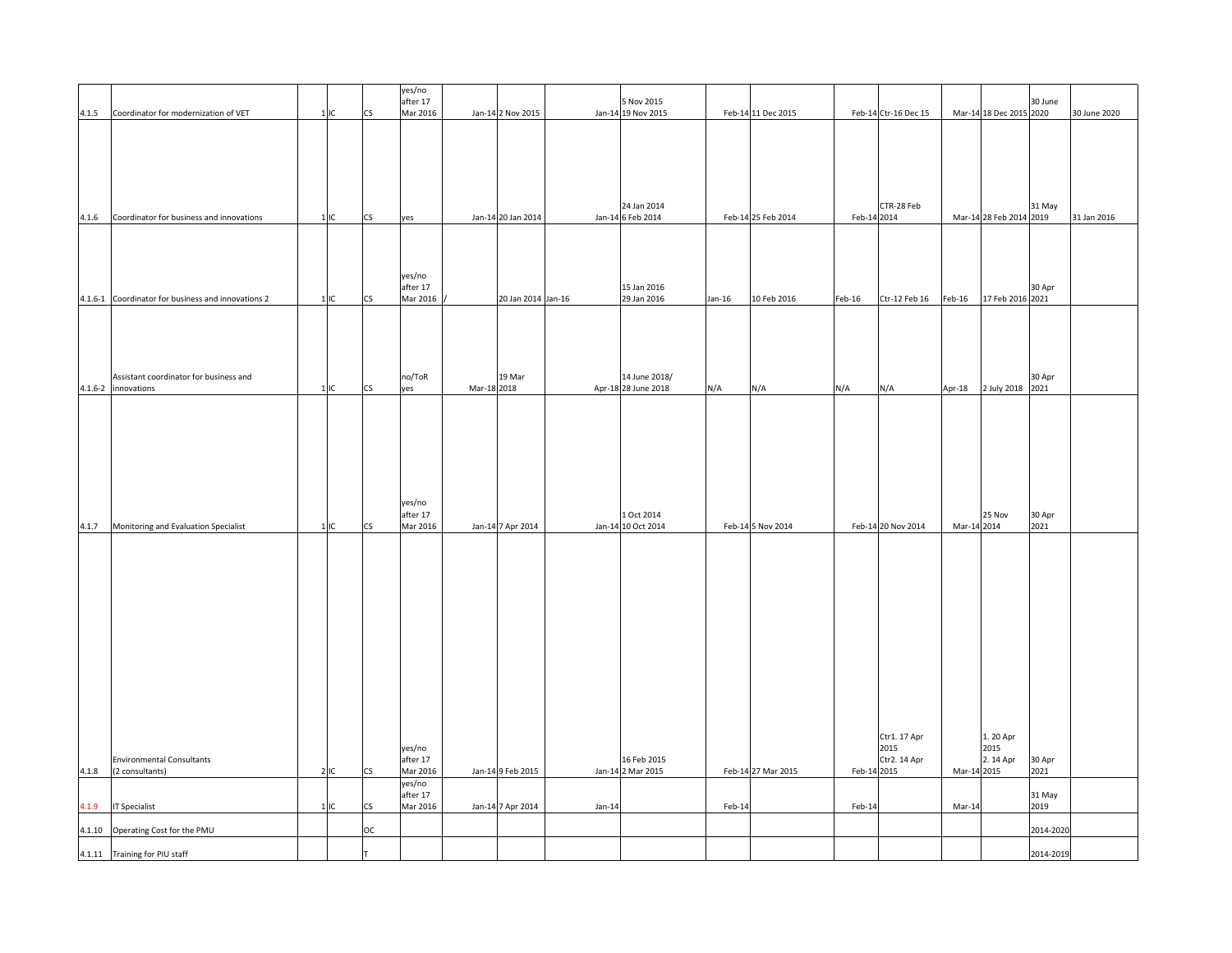|        |                                                     |        |                          | yes/no<br>after 17   |             |                    |        | 5 Nov 2015                       |        |                    |             |                      |             |                         | 30 June        |              |
|--------|-----------------------------------------------------|--------|--------------------------|----------------------|-------------|--------------------|--------|----------------------------------|--------|--------------------|-------------|----------------------|-------------|-------------------------|----------------|--------------|
| 4.1.5  | Coordinator for modernization of VET                | 1IC    | CS                       | Mar 2016             |             | Jan-14 2 Nov 2015  |        | Jan-14 19 Nov 2015               |        | Feb-14 11 Dec 2015 |             | Feb-14 Ctr-16 Dec 15 |             | Mar-14 18 Dec 2015 2020 |                | 30 June 2020 |
|        |                                                     |        |                          |                      |             |                    |        |                                  |        |                    |             |                      |             |                         |                |              |
|        |                                                     |        |                          |                      |             |                    |        |                                  |        |                    |             |                      |             |                         |                |              |
|        |                                                     |        |                          |                      |             |                    |        |                                  |        |                    |             |                      |             |                         |                |              |
|        |                                                     |        |                          |                      |             |                    |        | 24 Jan 2014                      |        |                    |             | CTR-28 Feb           |             |                         | 31 May         |              |
| 4.1.6  | Coordinator for business and innovations            | 1IC    | $\mathsf{CS}\,$          | yes                  |             | Jan-14 20 Jan 2014 |        | Jan-14 6 Feb 2014                |        | Feb-14 25 Feb 2014 | Feb-14 2014 |                      |             | Mar-14 28 Feb 2014 2019 |                | 31 Jan 2016  |
|        |                                                     |        |                          |                      |             |                    |        |                                  |        |                    |             |                      |             |                         |                |              |
|        |                                                     |        |                          |                      |             |                    |        |                                  |        |                    |             |                      |             |                         |                |              |
|        |                                                     |        |                          | yes/no<br>after 17   |             |                    |        | 15 Jan 2016                      |        |                    |             |                      |             |                         | 30 Apr         |              |
|        | 4.1.6-1 Coordinator for business and innovations 2  | $1$ IC | CS                       | Mar 2016             |             | 20 Jan 2014 Jan-16 |        | 29 Jan 2016                      | Jan-16 | 10 Feb 2016        | Feb-16      | Ctr-12 Feb 16        | Feb-16      | 17 Feb 2016 2021        |                |              |
|        |                                                     |        |                          |                      |             |                    |        |                                  |        |                    |             |                      |             |                         |                |              |
|        |                                                     |        |                          |                      |             |                    |        |                                  |        |                    |             |                      |             |                         |                |              |
|        |                                                     |        |                          |                      |             |                    |        |                                  |        |                    |             |                      |             |                         |                |              |
|        | Assistant coordinator for business and              |        |                          | no/ToR               |             | 19 Mar             |        | 14 June 2018/                    |        |                    |             |                      |             |                         | 30 Apr         |              |
|        | 4.1.6-2 innovations                                 | 1IC    | $\mathsf{CS}\phantom{0}$ | yes                  | Mar-18 2018 |                    |        | Apr-18 28 June 2018              | N/A    | N/A                | N/A         | N/A                  | Apr-18      | 2 July 2018             | 2021           |              |
|        |                                                     |        |                          |                      |             |                    |        |                                  |        |                    |             |                      |             |                         |                |              |
|        |                                                     |        |                          |                      |             |                    |        |                                  |        |                    |             |                      |             |                         |                |              |
|        |                                                     |        |                          |                      |             |                    |        |                                  |        |                    |             |                      |             |                         |                |              |
|        |                                                     |        |                          |                      |             |                    |        |                                  |        |                    |             |                      |             |                         |                |              |
|        |                                                     |        |                          | yes/no               |             |                    |        |                                  |        |                    |             |                      |             |                         |                |              |
|        |                                                     |        |                          | after 17             |             |                    |        | 1 Oct 2014                       |        |                    |             |                      |             | 25 Nov                  | 30 Apr         |              |
| 4.1.7  | Monitoring and Evaluation Specialist                | 1IC    | CS                       | Mar 2016             |             | Jan-14 7 Apr 2014  |        | Jan-14 10 Oct 2014               |        | Feb-14 5 Nov 2014  |             | Feb-14 20 Nov 2014   | Mar-14 2014 |                         | 2021           |              |
|        |                                                     |        |                          |                      |             |                    |        |                                  |        |                    |             |                      |             |                         |                |              |
|        |                                                     |        |                          |                      |             |                    |        |                                  |        |                    |             |                      |             |                         |                |              |
|        |                                                     |        |                          |                      |             |                    |        |                                  |        |                    |             |                      |             |                         |                |              |
|        |                                                     |        |                          |                      |             |                    |        |                                  |        |                    |             |                      |             |                         |                |              |
|        |                                                     |        |                          |                      |             |                    |        |                                  |        |                    |             |                      |             |                         |                |              |
|        |                                                     |        |                          |                      |             |                    |        |                                  |        |                    |             |                      |             |                         |                |              |
|        |                                                     |        |                          |                      |             |                    |        |                                  |        |                    |             |                      |             |                         |                |              |
|        |                                                     |        |                          |                      |             |                    |        |                                  |        |                    |             |                      |             |                         |                |              |
|        |                                                     |        |                          |                      |             |                    |        |                                  |        |                    |             |                      |             |                         |                |              |
|        |                                                     |        |                          |                      |             |                    |        |                                  |        |                    |             | Ctr1. 17 Apr         |             | 1. 20 Apr               |                |              |
|        |                                                     |        |                          | yes/no               |             |                    |        |                                  |        |                    |             | 2015                 |             | 2015                    |                |              |
| 4.1.8  | <b>Environmental Consultants</b><br>(2 consultants) | 2IC    | CS                       | after 17<br>Mar 2016 |             | Jan-14 9 Feb 2015  |        | 16 Feb 2015<br>Jan-14 2 Mar 2015 |        | Feb-14 27 Mar 2015 | Feb-14 2015 | Ctr2. 14 Apr         | Mar-14 2015 | 2.14 Apr                | 30 Apr<br>2021 |              |
|        |                                                     |        |                          | yes/no<br>after 17   |             |                    |        |                                  |        |                    |             |                      |             |                         | 31 May         |              |
| 1.1.9  | IT Specialist                                       | $1$ IC | $\mathsf{CS}\,$          | Mar 2016             |             | Jan-14 7 Apr 2014  | Jan-14 |                                  | Feb-14 |                    | Feb-14      |                      | Mar-14      |                         | 2019           |              |
| 4.1.10 | Operating Cost for the PMU                          |        | ОC                       |                      |             |                    |        |                                  |        |                    |             |                      |             |                         | 2014-2020      |              |
|        | 4.1.11 Training for PIU staff                       |        |                          |                      |             |                    |        |                                  |        |                    |             |                      |             |                         | 2014-2019      |              |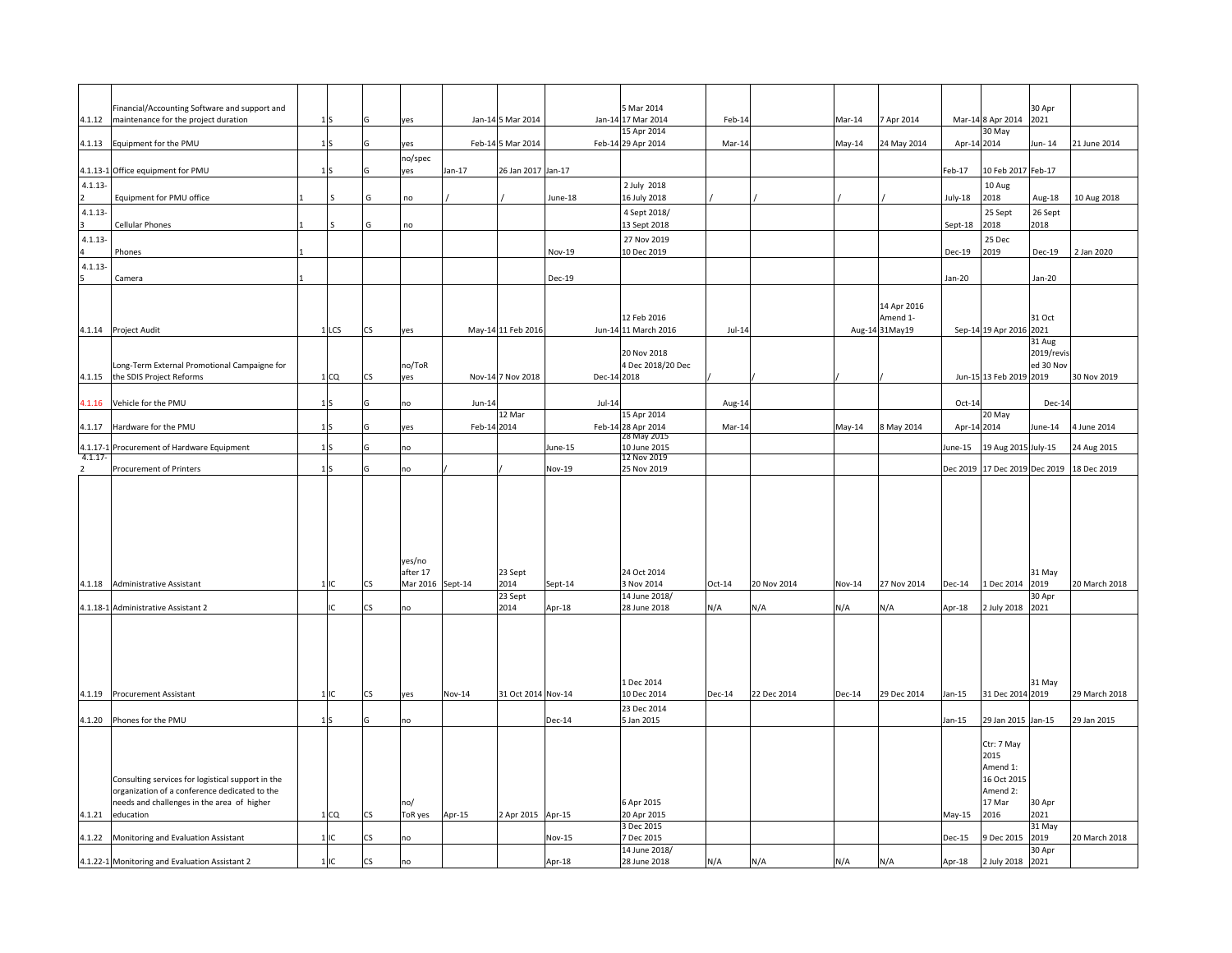| 4.1.12        | Financial/Accounting Software and support and<br>maintenance for the project duration |                 |           | ves                |             | Jan-14 5 Mar 2014  | $Jan-14$    | 5 Mar 2014<br>17 Mar 2014         | Feb-14   |             | $Mar-14$ | 7 Apr 2014              | Mar-14        | 8 Apr 2014              | 30 Apr<br>2021    |                                  |
|---------------|---------------------------------------------------------------------------------------|-----------------|-----------|--------------------|-------------|--------------------|-------------|-----------------------------------|----------|-------------|----------|-------------------------|---------------|-------------------------|-------------------|----------------------------------|
| 4.1.13        | Equipment for the PMU                                                                 |                 |           | yes                |             | Feb-14 5 Mar 2014  |             | 15 Apr 2014<br>Feb-14 29 Apr 2014 | Mar-14   |             | May-14   | 24 May 2014             | Apr-14 2014   | 30 May                  | Jun-14            | 21 June 2014                     |
|               | 4.1.13-1 Office equipment for PMU                                                     | 1 <sup>5</sup>  |           | no/spec<br>yes     | $Jan-17$    | 26 Jan 2017 Jan-17 |             |                                   |          |             |          |                         | Feb-17        | 10 Feb 2017 Feb-17      |                   |                                  |
| $4.1.13 -$    |                                                                                       |                 |           |                    |             |                    |             | 2 July 2018                       |          |             |          |                         |               | 10 Aug                  |                   |                                  |
| $4.1.13 -$    | Equipment for PMU office                                                              |                 | G         | no                 |             |                    | June-18     | 16 July 2018<br>4 Sept 2018/      |          |             |          |                         | July-18       | 2018<br>25 Sept         | Aug-18<br>26 Sept | 10 Aug 2018                      |
|               | Cellular Phones                                                                       |                 | G         | no                 |             |                    |             | 13 Sept 2018                      |          |             |          |                         | Sept-18       | 2018                    | 2018              |                                  |
| $4.1.13 -$    | Phones                                                                                |                 |           |                    |             |                    | Nov-19      | 27 Nov 2019<br>10 Dec 2019        |          |             |          |                         | Dec-19        | 25 Dec<br>2019          | Dec-19            | 2 Jan 2020                       |
| $4.1.13 -$    | Camera                                                                                |                 |           |                    |             |                    | Dec-19      |                                   |          |             |          |                         | Jan-20        |                         | Jan-20            |                                  |
|               |                                                                                       |                 |           |                    |             |                    |             |                                   |          |             |          |                         |               |                         |                   |                                  |
|               |                                                                                       |                 |           |                    |             |                    |             | 12 Feb 2016                       |          |             |          | 14 Apr 2016<br>Amend 1- |               |                         | 31 Oct            |                                  |
|               | 4.1.14 Project Audit                                                                  | 1 LCS           | CS        | yes                |             | May-14 11 Feb 2016 |             | Jun-14 11 March 2016              | $Jul-14$ |             |          | Aug-14 31May19          |               | Sep-14 19 Apr 2016 2021 | 31 Aug            |                                  |
|               |                                                                                       |                 |           |                    |             |                    |             | 20 Nov 2018                       |          |             |          |                         |               |                         | 2019/revis        |                                  |
|               | Long-Term External Promotional Campaigne for<br>4.1.15 the SDIS Project Reforms       | 1 <sub>CO</sub> | CS        | no/ToR<br>yes      |             | Nov-14 7 Nov 2018  | Dec-14 2018 | 4 Dec 2018/20 Dec                 |          |             |          |                         |               | Jun-15 13 Feb 2019 2019 | ed 30 Nov         | 30 Nov 2019                      |
| 1.1.16        | Vehicle for the PMU                                                                   |                 |           | no                 | $Jun-14$    |                    | $Jul-14$    |                                   | Aug-14   |             |          |                         | Oct-14        |                         | Dec-14            |                                  |
|               |                                                                                       |                 |           |                    |             | 12 Mar             |             | 15 Apr 2014                       |          |             |          |                         |               | 20 May                  |                   |                                  |
| 4.1.17        | Hardware for the PMU                                                                  | 1 <sup>S</sup>  | G         | yes                | Feb-14 2014 |                    |             | Feb-14 28 Apr 2014<br>28 May 2015 | Mar-14   |             | May-14   | 8 May 2014              | Apr-14 2014   |                         | June-14           | 4 June 2014                      |
| $4.1.17 -$    | 4.1.17-1 Procurement of Hardware Equipment                                            | 1 <sup>5</sup>  |           | no                 |             |                    | June-15     | 10 June 2015<br>12 Nov 2019       |          |             |          |                         | June-15       | 19 Aug 2015 July-15     |                   | 24 Aug 2015                      |
| $\mathcal{P}$ | <b>Procurement of Printers</b>                                                        | 1 <sup>S</sup>  |           | no                 |             |                    | Nov-19      | 25 Nov 2019                       |          |             |          |                         | Dec 2019      |                         |                   | 17 Dec 2019 Dec 2019 18 Dec 2019 |
|               |                                                                                       |                 |           |                    |             |                    |             |                                   |          |             |          |                         |               |                         |                   |                                  |
|               |                                                                                       |                 |           |                    |             |                    |             |                                   |          |             |          |                         |               |                         |                   |                                  |
|               |                                                                                       |                 |           | yes/no<br>after 17 |             | 23 Sept            |             | 24 Oct 2014                       |          |             |          |                         |               |                         | 31 May            |                                  |
| 4.1.18        | Administrative Assistant                                                              | 1IC             | <b>CS</b> | Mar 2016 Sept-14   |             | 2014               | Sept-14     | 3 Nov 2014                        | $Oct-14$ | 20 Nov 2014 | Nov-14   | 27 Nov 2014             | <b>Dec-14</b> | L Dec 2014              | 2019<br>30 Apr    | 20 March 2018                    |
|               | 4.1.18-1 Administrative Assistant 2                                                   |                 | CS        | no                 |             | 23 Sept<br>2014    | Apr-18      | 14 June 2018/<br>28 June 2018     | N/A      | ۷/A         | N/A      | ۷/A                     | Apr-18        | 2 July 2018             | 2021              |                                  |
|               |                                                                                       |                 |           |                    |             |                    |             |                                   |          |             |          |                         |               |                         |                   |                                  |
|               |                                                                                       |                 |           |                    |             |                    |             |                                   |          |             |          |                         |               |                         |                   |                                  |
|               |                                                                                       |                 |           |                    |             |                    |             |                                   |          |             |          |                         |               |                         |                   |                                  |
| 4.1.19        | <b>Procurement Assistant</b>                                                          | $\overline{1}$  | CS        | yes                | Nov-14      | 31 Oct 2014 Nov-14 |             | Dec 2014<br>10 Dec 2014           | Dec-14   | 22 Dec 2014 | Dec-14   | 29 Dec 2014             | Jan-15        | 31 Dec 2014             | 31 May<br>2019    | 29 March 2018                    |
|               |                                                                                       |                 |           |                    |             |                    |             | 23 Dec 2014                       |          |             |          |                         |               |                         |                   |                                  |
| 4.1.20        | Phones for the PMU                                                                    | 1 <sup>S</sup>  |           | no                 |             |                    | Dec-14      | 5 Jan 2015                        |          |             |          |                         | $Jan-15$      | 29 Jan 2015 Jan-15      |                   | 29 Jan 2015                      |
|               |                                                                                       |                 |           |                    |             |                    |             |                                   |          |             |          |                         |               | Ctr: 7 May<br>2015      |                   |                                  |
|               | Consulting services for logistical support in the                                     |                 |           |                    |             |                    |             |                                   |          |             |          |                         |               | Amend 1:<br>16 Oct 2015 |                   |                                  |
|               | organization of a conference dedicated to the                                         |                 |           |                    |             |                    |             |                                   |          |             |          |                         |               | Amend 2:                |                   |                                  |
| 4.1.21        | needs and challenges in the area of higher<br>education                               | 1 <sub>CO</sub> | CS        | no/<br>ToR yes     | Apr-15      | 2 Apr 2015 Apr-15  |             | 6 Apr 2015<br>20 Apr 2015         |          |             |          |                         | May-15        | 17 Mar<br>2016          | 30 Apr<br>2021    |                                  |
|               | 4.1.22 Monitoring and Evaluation Assistant                                            | $1$ IC          | CS.       | no                 |             |                    | Nov-15      | 3 Dec 2015<br>7 Dec 2015          |          |             |          |                         | Dec-15        | Dec 2015                | 31 May<br>2019    | 20 March 2018                    |
|               | 4.1.22-1 Monitoring and Evaluation Assistant 2                                        | 1IC             | <b>CS</b> | no                 |             |                    | Apr-18      | 14 June 2018/<br>28 June 2018     | N/A      | N/A         | N/A      | N/A                     | Apr-18        | 2 July 2018             | 30 Apr<br>2021    |                                  |
|               |                                                                                       |                 |           |                    |             |                    |             |                                   |          |             |          |                         |               |                         |                   |                                  |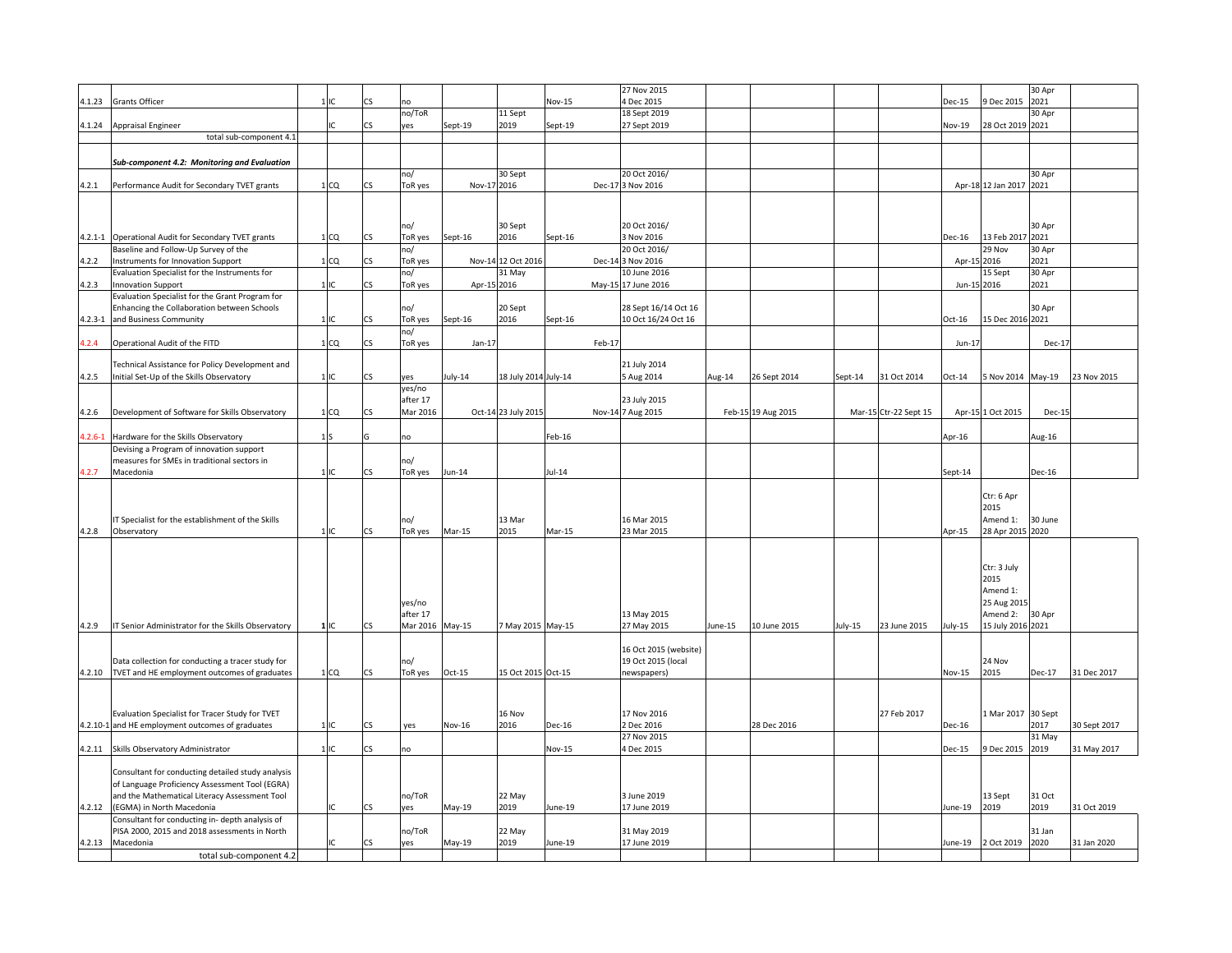|             |                                                                                                |                 |     |                 |             |                      |         |        | 27 Nov 2015                |         |                    |         |                       |             |                              | 30 Apr  |              |
|-------------|------------------------------------------------------------------------------------------------|-----------------|-----|-----------------|-------------|----------------------|---------|--------|----------------------------|---------|--------------------|---------|-----------------------|-------------|------------------------------|---------|--------------|
| 4.1.23      | <b>Grants Officer</b>                                                                          | $1$ IC          | ٢Ś  |                 |             |                      | Nov-15  |        | 4 Dec 2015                 |         |                    |         |                       | Dec-15      | 9 Dec 2015                   | 2021    |              |
|             |                                                                                                |                 |     | no/ToR          |             | 11 Sept              |         |        | 18 Sept 2019               |         |                    |         |                       |             |                              | 30 Apr  |              |
|             | 4.1.24 Appraisal Engineer                                                                      |                 | ĊŚ  | yes             | Sept-19     | 2019                 | Sept-19 |        | 27 Sept 2019               |         |                    |         |                       | Nov-19      | 28 Oct 2019 2021             |         |              |
|             | total sub-component 4.                                                                         |                 |     |                 |             |                      |         |        |                            |         |                    |         |                       |             |                              |         |              |
|             |                                                                                                |                 |     |                 |             |                      |         |        |                            |         |                    |         |                       |             |                              |         |              |
|             | Sub-component 4.2: Monitoring and Evaluation                                                   |                 |     |                 |             |                      |         |        |                            |         |                    |         |                       |             |                              |         |              |
|             |                                                                                                |                 |     | no/             |             | 30 Sept              |         |        | 20 Oct 2016/               |         |                    |         |                       |             |                              | 30 Apr  |              |
| 4.2.1       | Performance Audit for Secondary TVET grants                                                    | 1 <sub>CQ</sub> | CS  | ToR yes         | Nov-17 2016 |                      |         |        | Dec-17 3 Nov 2016          |         |                    |         |                       |             | Apr-18 12 Jan 2017 2021      |         |              |
|             |                                                                                                |                 |     |                 |             |                      |         |        |                            |         |                    |         |                       |             |                              |         |              |
|             |                                                                                                |                 |     |                 |             |                      |         |        |                            |         |                    |         |                       |             |                              |         |              |
|             |                                                                                                |                 |     | no/             |             | 30 Sept              |         |        | 20 Oct 2016/               |         |                    |         |                       |             |                              | 30 Apr  |              |
|             | 4.2.1-1 Operational Audit for Secondary TVET grants                                            | 1 <sub>CQ</sub> | CS  | ToR yes         | Sept-16     | 2016                 | Sept-16 |        | 3 Nov 2016                 |         |                    |         |                       | Dec-16      | 13 Feb 2017 2021             |         |              |
|             | Baseline and Follow-Up Survey of the                                                           |                 |     | no/             |             |                      |         |        | 20 Oct 2016/               |         |                    |         |                       |             | 29 Nov                       | 30 Apr  |              |
| 4.2.2       | Instruments for Innovation Support                                                             | 1 <sub>CO</sub> | ۲Ś  | ToR yes         | Nov-14      | 12 Oct 2016          |         |        | Dec-14 3 Nov 2016          |         |                    |         |                       | Apr-15      | 2016                         | 2021    |              |
|             | Evaluation Specialist for the Instruments for                                                  |                 |     | no/             |             | 31 May               |         |        | 10 June 2016               |         |                    |         |                       |             | 15 Sept                      | 30 Apr  |              |
| 4.2.3       | <b>Innovation Support</b>                                                                      | $1$ IC          | ٢Ś  | ToR yes         | Apr-15 2016 |                      |         |        | May-15 17 June 2016        |         |                    |         |                       | Jun-15 2016 |                              | 2021    |              |
|             | Evaluation Specialist for the Grant Program for<br>Enhancing the Collaboration between Schools |                 |     | no/             |             | 20 Sept              |         |        | 28 Sept 16/14 Oct 16       |         |                    |         |                       |             |                              | 30 Apr  |              |
| $4.2.3 - 1$ | and Business Community                                                                         | 1IC             | CS  | ToR yes         | Sept-16     | 2016                 | Sept-16 |        | 10 Oct 16/24 Oct 16        |         |                    |         |                       | $Oct-16$    | 15 Dec 2016 2021             |         |              |
|             |                                                                                                |                 |     | no/             |             |                      |         |        |                            |         |                    |         |                       |             |                              |         |              |
| 4.2.4       | Operational Audit of the FITD                                                                  | 1 <sub>CO</sub> | CS  | ToR yes         | $Jan-17$    |                      |         | Feb-17 |                            |         |                    |         |                       | $Jun-17$    |                              | Dec-17  |              |
|             |                                                                                                |                 |     |                 |             |                      |         |        |                            |         |                    |         |                       |             |                              |         |              |
|             | Technical Assistance for Policy Development and                                                |                 |     |                 |             |                      |         |        | 21 July 2014               |         |                    |         |                       |             |                              |         |              |
| 4.2.5       | Initial Set-Up of the Skills Observatory                                                       | 1 IC            | ĊŜ  | yes             | July-14     | 18 July 2014 July-14 |         |        | Aug 2014                   | Aug-14  | 26 Sept 2014       | Sept-14 | 31 Oct 2014           | $Oct-14$    | Nov 2014 May-19              |         | 23 Nov 2015  |
|             |                                                                                                |                 |     | yes/no          |             |                      |         |        |                            |         |                    |         |                       |             |                              |         |              |
|             |                                                                                                |                 |     | after 17        |             |                      |         |        | 23 July 2015               |         |                    |         |                       |             |                              |         |              |
| 4.2.6       | Development of Software for Skills Observatory                                                 | 1 <sub>CO</sub> | CS  | Mar 2016        |             | Oct-14 23 July 2015  |         |        | Nov-14 7 Aug 2015          |         | Feb-15 19 Aug 2015 |         | Mar-15 Ctr-22 Sept 15 |             | Apr-15 1 Oct 2015            | Dec-15  |              |
|             |                                                                                                |                 |     |                 |             |                      |         |        |                            |         |                    |         |                       |             |                              |         |              |
| $4.2.6 - 1$ | Hardware for the Skills Observatory                                                            | 1S              |     | no              |             |                      | Feb-16  |        |                            |         |                    |         |                       | Apr-16      |                              | Aug-16  |              |
|             | Devising a Program of innovation support                                                       |                 |     |                 |             |                      |         |        |                            |         |                    |         |                       |             |                              |         |              |
|             | measures for SMEs in traditional sectors in                                                    |                 |     | no/             |             |                      |         |        |                            |         |                    |         |                       |             |                              |         |              |
| 4.2.7       | Macedonia                                                                                      | 11C             | r٢  | ToR yes         | Jun-14      |                      | Jul-14  |        |                            |         |                    |         |                       | Sept-14     |                              | Dec-16  |              |
|             |                                                                                                |                 |     |                 |             |                      |         |        |                            |         |                    |         |                       |             |                              |         |              |
|             |                                                                                                |                 |     |                 |             |                      |         |        |                            |         |                    |         |                       |             | Ctr: 6 Apr                   |         |              |
|             |                                                                                                |                 |     |                 |             |                      |         |        |                            |         |                    |         |                       |             | 2015                         |         |              |
| 4.2.8       | IT Specialist for the establishment of the Skills<br>Observatory                               | 1IC             | ĊŚ  | no/             | Mar-15      | 13 Mar<br>2015       | Mar-15  |        | 16 Mar 2015<br>23 Mar 2015 |         |                    |         |                       |             | Amend 1:<br>28 Apr 2015 2020 | 30 June |              |
|             |                                                                                                |                 |     | ToR yes         |             |                      |         |        |                            |         |                    |         |                       | Apr-15      |                              |         |              |
|             |                                                                                                |                 |     |                 |             |                      |         |        |                            |         |                    |         |                       |             |                              |         |              |
|             |                                                                                                |                 |     |                 |             |                      |         |        |                            |         |                    |         |                       |             | Ctr: 3 July                  |         |              |
|             |                                                                                                |                 |     |                 |             |                      |         |        |                            |         |                    |         |                       |             | 2015                         |         |              |
|             |                                                                                                |                 |     |                 |             |                      |         |        |                            |         |                    |         |                       |             | Amend 1:                     |         |              |
|             |                                                                                                |                 |     | yes/no          |             |                      |         |        |                            |         |                    |         |                       |             | 25 Aug 2015                  |         |              |
|             |                                                                                                |                 |     | after 17        |             |                      |         |        | 13 May 2015                |         |                    |         |                       |             | Amend 2:                     | 30 Apr  |              |
| 4.2.9       | IT Senior Administrator for the Skills Observatory                                             | 1 IC            | CS  | Mar 2016 May-15 |             | 7 May 2015 May-15    |         |        | 27 May 2015                | June-15 | 10 June 2015       | July-15 | 23 June 2015          | July-15     | 15 July 2016 2021            |         |              |
|             |                                                                                                |                 |     |                 |             |                      |         |        |                            |         |                    |         |                       |             |                              |         |              |
|             |                                                                                                |                 |     |                 |             |                      |         |        | 16 Oct 2015 (website)      |         |                    |         |                       |             |                              |         |              |
|             | Data collection for conducting a tracer study for                                              |                 |     | no/             |             |                      |         |        | 19 Oct 2015 (local         |         |                    |         |                       |             | 24 Nov                       |         |              |
|             | 4.2.10 TVET and HE employment outcomes of graduates                                            | 1 <sub>CO</sub> | CS  | ToR yes         | Oct-15      | 15 Oct 2015 Oct-15   |         |        | newspapers)                |         |                    |         |                       | Nov-15      | 2015                         | Dec-17  | 31 Dec 2017  |
|             |                                                                                                |                 |     |                 |             |                      |         |        |                            |         |                    |         |                       |             |                              |         |              |
|             |                                                                                                |                 |     |                 |             |                      |         |        |                            |         |                    |         |                       |             |                              |         |              |
|             | Evaluation Specialist for Tracer Study for TVET                                                |                 |     |                 |             | 16 Nov               |         |        | 17 Nov 2016                |         |                    |         | 27 Feb 2017           |             | 1 Mar 2017 30 Sept           |         |              |
|             | 4.2.10-1 and HE employment outcomes of graduates                                               | 1 <sub>IC</sub> | CS  | yes             | Nov-16      | 2016                 | Dec-16  |        | 2 Dec 2016                 |         | 28 Dec 2016        |         |                       | Dec-16      |                              | 2017    | 30 Sept 2017 |
|             |                                                                                                |                 |     |                 |             |                      |         |        | 27 Nov 2015                |         |                    |         |                       |             |                              | 31 May  |              |
|             | 4.2.11 Skills Observatory Administrator                                                        | 11C             | CS  | no              |             |                      | Nov-15  |        | 4 Dec 2015                 |         |                    |         |                       | Dec-15      | 9 Dec 2015                   | 2019    | 31 May 2017  |
|             |                                                                                                |                 |     |                 |             |                      |         |        |                            |         |                    |         |                       |             |                              |         |              |
|             | Consultant for conducting detailed study analysis                                              |                 |     |                 |             |                      |         |        |                            |         |                    |         |                       |             |                              |         |              |
|             | of Language Proficiency Assessment Tool (EGRA)                                                 |                 |     |                 |             |                      |         |        |                            |         |                    |         |                       |             |                              |         |              |
|             | and the Mathematical Literacy Assessment Tool                                                  |                 |     | no/ToR          |             | 22 May               |         |        | 3 June 2019                |         |                    |         |                       |             | 13 Sept                      | 31 Oct  |              |
| 4.2.12      | (EGMA) in North Macedonia                                                                      | C               | CS  | yes             | May-19      | 2019                 | June-19 |        | 17 June 2019               |         |                    |         |                       | June-19     | 2019                         | 2019    | 31 Oct 2019  |
|             | Consultant for conducting in- depth analysis of                                                |                 |     |                 |             |                      |         |        |                            |         |                    |         |                       |             |                              |         |              |
|             | PISA 2000, 2015 and 2018 assessments in North                                                  |                 |     | no/ToR          |             | 22 May               |         |        | 31 May 2019                |         |                    |         |                       |             |                              | 31 Jan  |              |
| 4.2.13      | Macedonia                                                                                      |                 | 'nς | yes             | May-19      | 2019                 | June-19 |        | 17 June 2019               |         |                    |         |                       | lune-19     | 2 Oct 2019                   | 2020    | 31 Jan 2020  |
|             | total sub-component 4.2                                                                        |                 |     |                 |             |                      |         |        |                            |         |                    |         |                       |             |                              |         |              |